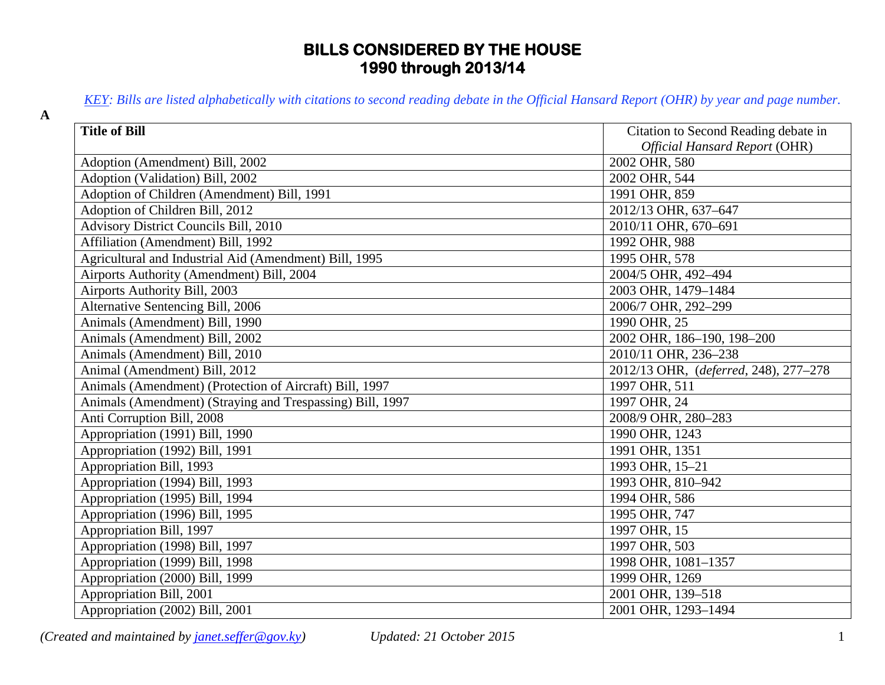## **BILLS CONSIDERED BY THE HOUSE 1990 through 2013/14**

*KEY: Bills are listed alphabetically with citations to second reading debate in the Official Hansard Report (OHR) by year and page number.*

| <b>Title of Bill</b>                                      | Citation to Second Reading debate in  |
|-----------------------------------------------------------|---------------------------------------|
|                                                           | <b>Official Hansard Report (OHR)</b>  |
| Adoption (Amendment) Bill, 2002                           | 2002 OHR, 580                         |
| Adoption (Validation) Bill, 2002                          | 2002 OHR, 544                         |
| Adoption of Children (Amendment) Bill, 1991               | 1991 OHR, 859                         |
| Adoption of Children Bill, 2012                           | 2012/13 OHR, 637-647                  |
| <b>Advisory District Councils Bill, 2010</b>              | 2010/11 OHR, 670-691                  |
| Affiliation (Amendment) Bill, 1992                        | 1992 OHR, 988                         |
| Agricultural and Industrial Aid (Amendment) Bill, 1995    | 1995 OHR, 578                         |
| Airports Authority (Amendment) Bill, 2004                 | 2004/5 OHR, 492-494                   |
| Airports Authority Bill, 2003                             | 2003 OHR, 1479-1484                   |
| Alternative Sentencing Bill, 2006                         | 2006/7 OHR, 292-299                   |
| Animals (Amendment) Bill, 1990                            | 1990 OHR, 25                          |
| Animals (Amendment) Bill, 2002                            | 2002 OHR, 186-190, 198-200            |
| Animals (Amendment) Bill, 2010                            | 2010/11 OHR, 236-238                  |
| Animal (Amendment) Bill, 2012                             | 2012/13 OHR, (deferred, 248), 277-278 |
| Animals (Amendment) (Protection of Aircraft) Bill, 1997   | 1997 OHR, 511                         |
| Animals (Amendment) (Straying and Trespassing) Bill, 1997 | 1997 OHR, 24                          |
| Anti Corruption Bill, 2008                                | 2008/9 OHR, 280-283                   |
| Appropriation (1991) Bill, 1990                           | 1990 OHR, 1243                        |
| Appropriation (1992) Bill, 1991                           | 1991 OHR, 1351                        |
| Appropriation Bill, 1993                                  | 1993 OHR, 15-21                       |
| Appropriation (1994) Bill, 1993                           | 1993 OHR, 810-942                     |
| Appropriation (1995) Bill, 1994                           | 1994 OHR, 586                         |
| Appropriation (1996) Bill, 1995                           | 1995 OHR, 747                         |
| Appropriation Bill, 1997                                  | 1997 OHR, 15                          |
| Appropriation (1998) Bill, 1997                           | 1997 OHR, 503                         |
| Appropriation (1999) Bill, 1998                           | 1998 OHR, 1081-1357                   |
| Appropriation (2000) Bill, 1999                           | 1999 OHR, 1269                        |
| Appropriation Bill, 2001                                  | 2001 OHR, 139-518                     |
| Appropriation (2002) Bill, 2001                           | 2001 OHR, 1293-1494                   |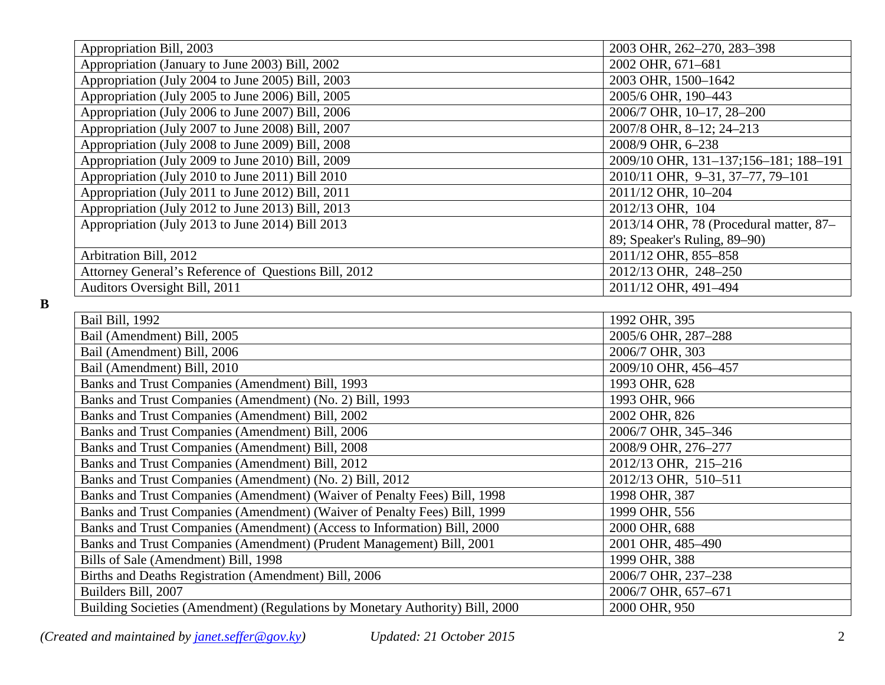| Appropriation Bill, 2003                             | 2003 OHR, 262-270, 283-398              |
|------------------------------------------------------|-----------------------------------------|
| Appropriation (January to June 2003) Bill, 2002      | 2002 OHR, 671-681                       |
| Appropriation (July 2004 to June 2005) Bill, 2003    | 2003 OHR, 1500-1642                     |
| Appropriation (July 2005 to June 2006) Bill, 2005    | 2005/6 OHR, 190-443                     |
| Appropriation (July 2006 to June 2007) Bill, 2006    | 2006/7 OHR, 10-17, 28-200               |
| Appropriation (July 2007 to June 2008) Bill, 2007    | 2007/8 OHR, 8-12; 24-213                |
| Appropriation (July 2008 to June 2009) Bill, 2008    | 2008/9 OHR, 6-238                       |
| Appropriation (July 2009 to June 2010) Bill, 2009    | 2009/10 OHR, 131-137;156-181; 188-191   |
| Appropriation (July 2010 to June 2011) Bill 2010     | 2010/11 OHR, 9-31, 37-77, 79-101        |
| Appropriation (July 2011 to June 2012) Bill, 2011    | 2011/12 OHR, 10-204                     |
| Appropriation (July 2012 to June 2013) Bill, 2013    | 2012/13 OHR, 104                        |
| Appropriation (July 2013 to June 2014) Bill 2013     | 2013/14 OHR, 78 (Procedural matter, 87- |
|                                                      | 89; Speaker's Ruling, 89–90)            |
| Arbitration Bill, 2012                               | 2011/12 OHR, 855-858                    |
| Attorney General's Reference of Questions Bill, 2012 | 2012/13 OHR, 248-250                    |
| Auditors Oversight Bill, 2011                        | 2011/12 OHR, 491-494                    |
|                                                      |                                         |
| <b>Bail Bill, 1992</b>                               | 1992 OHR, 395                           |

**B**

| Bail Bill, 1992                                                               | 1992 OHR, 395        |
|-------------------------------------------------------------------------------|----------------------|
| Bail (Amendment) Bill, 2005                                                   | 2005/6 OHR, 287-288  |
| Bail (Amendment) Bill, 2006                                                   | 2006/7 OHR, 303      |
| Bail (Amendment) Bill, 2010                                                   | 2009/10 OHR, 456-457 |
| Banks and Trust Companies (Amendment) Bill, 1993                              | 1993 OHR, 628        |
| Banks and Trust Companies (Amendment) (No. 2) Bill, 1993                      | 1993 OHR, 966        |
| Banks and Trust Companies (Amendment) Bill, 2002                              | 2002 OHR, 826        |
| Banks and Trust Companies (Amendment) Bill, 2006                              | 2006/7 OHR, 345-346  |
| Banks and Trust Companies (Amendment) Bill, 2008                              | 2008/9 OHR, 276-277  |
| Banks and Trust Companies (Amendment) Bill, 2012                              | 2012/13 OHR, 215-216 |
| Banks and Trust Companies (Amendment) (No. 2) Bill, 2012                      | 2012/13 OHR, 510-511 |
| Banks and Trust Companies (Amendment) (Waiver of Penalty Fees) Bill, 1998     | 1998 OHR, 387        |
| Banks and Trust Companies (Amendment) (Waiver of Penalty Fees) Bill, 1999     | 1999 OHR, 556        |
| Banks and Trust Companies (Amendment) (Access to Information) Bill, 2000      | 2000 OHR, 688        |
| Banks and Trust Companies (Amendment) (Prudent Management) Bill, 2001         | 2001 OHR, 485-490    |
| Bills of Sale (Amendment) Bill, 1998                                          | 1999 OHR, 388        |
| Births and Deaths Registration (Amendment) Bill, 2006                         | 2006/7 OHR, 237-238  |
| Builders Bill, 2007                                                           | 2006/7 OHR, 657-671  |
| Building Societies (Amendment) (Regulations by Monetary Authority) Bill, 2000 | 2000 OHR, 950        |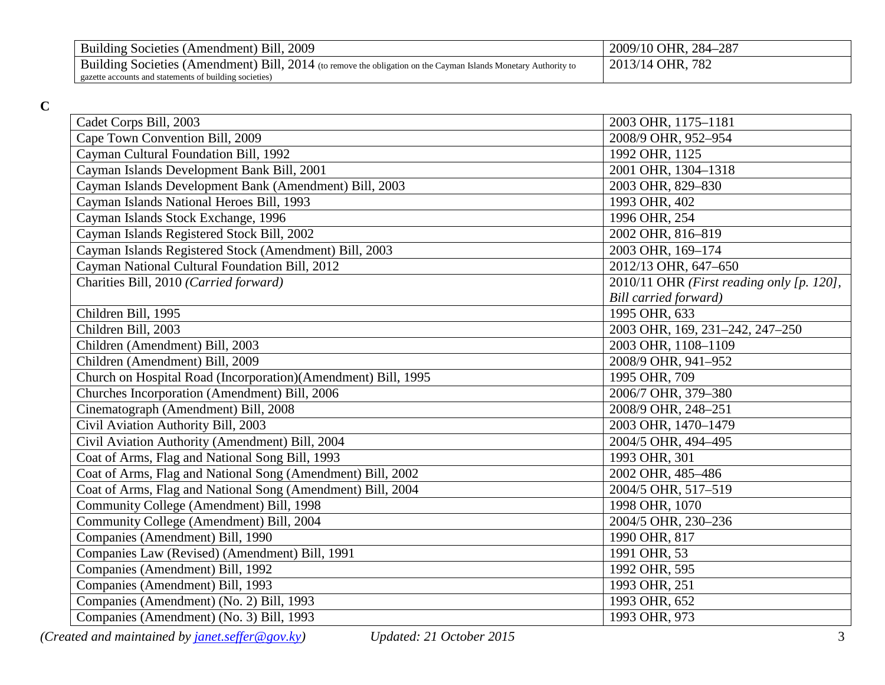| Building Societies (Amendment) Bill, 2009                                                                       | 2009/10 OHR, 284-287 |
|-----------------------------------------------------------------------------------------------------------------|----------------------|
| Building Societies (Amendment) Bill, 2014 (to remove the obligation on the Cayman Islands Monetary Authority to | 2013/14 OHR, 782     |
| I gazette accounts and statements of building societies)                                                        |                      |

**C**

| Cadet Corps Bill, 2003                                        | 2003 OHR, 1175-1181                       |
|---------------------------------------------------------------|-------------------------------------------|
| Cape Town Convention Bill, 2009                               | 2008/9 OHR, 952-954                       |
| Cayman Cultural Foundation Bill, 1992                         | 1992 OHR, 1125                            |
| Cayman Islands Development Bank Bill, 2001                    | 2001 OHR, 1304-1318                       |
| Cayman Islands Development Bank (Amendment) Bill, 2003        | 2003 OHR, 829-830                         |
| Cayman Islands National Heroes Bill, 1993                     | 1993 OHR, 402                             |
| Cayman Islands Stock Exchange, 1996                           | 1996 OHR, 254                             |
| Cayman Islands Registered Stock Bill, 2002                    | 2002 OHR, 816-819                         |
| Cayman Islands Registered Stock (Amendment) Bill, 2003        | 2003 OHR, 169-174                         |
| Cayman National Cultural Foundation Bill, 2012                | 2012/13 OHR, 647-650                      |
| Charities Bill, 2010 (Carried forward)                        | 2010/11 OHR (First reading only [p. 120], |
|                                                               | Bill carried forward)                     |
| Children Bill, 1995                                           | 1995 OHR, 633                             |
| Children Bill, 2003                                           | 2003 OHR, 169, 231-242, 247-250           |
| Children (Amendment) Bill, 2003                               | 2003 OHR, 1108-1109                       |
| Children (Amendment) Bill, 2009                               | 2008/9 OHR, 941-952                       |
| Church on Hospital Road (Incorporation)(Amendment) Bill, 1995 | 1995 OHR, 709                             |
| Churches Incorporation (Amendment) Bill, 2006                 | 2006/7 OHR, 379-380                       |
| Cinematograph (Amendment) Bill, 2008                          | 2008/9 OHR, 248-251                       |
| Civil Aviation Authority Bill, 2003                           | 2003 OHR, 1470-1479                       |
| Civil Aviation Authority (Amendment) Bill, 2004               | 2004/5 OHR, 494-495                       |
| Coat of Arms, Flag and National Song Bill, 1993               | 1993 OHR, 301                             |
| Coat of Arms, Flag and National Song (Amendment) Bill, 2002   | 2002 OHR, 485-486                         |
| Coat of Arms, Flag and National Song (Amendment) Bill, 2004   | 2004/5 OHR, 517-519                       |
| Community College (Amendment) Bill, 1998                      | 1998 OHR, 1070                            |
| Community College (Amendment) Bill, 2004                      | 2004/5 OHR, 230-236                       |
| Companies (Amendment) Bill, 1990                              | 1990 OHR, 817                             |
| Companies Law (Revised) (Amendment) Bill, 1991                | 1991 OHR, 53                              |
| Companies (Amendment) Bill, 1992                              | 1992 OHR, 595                             |
| Companies (Amendment) Bill, 1993                              | 1993 OHR, 251                             |
| Companies (Amendment) (No. 2) Bill, 1993                      | 1993 OHR, 652                             |
| Companies (Amendment) (No. 3) Bill, 1993                      | 1993 OHR, 973                             |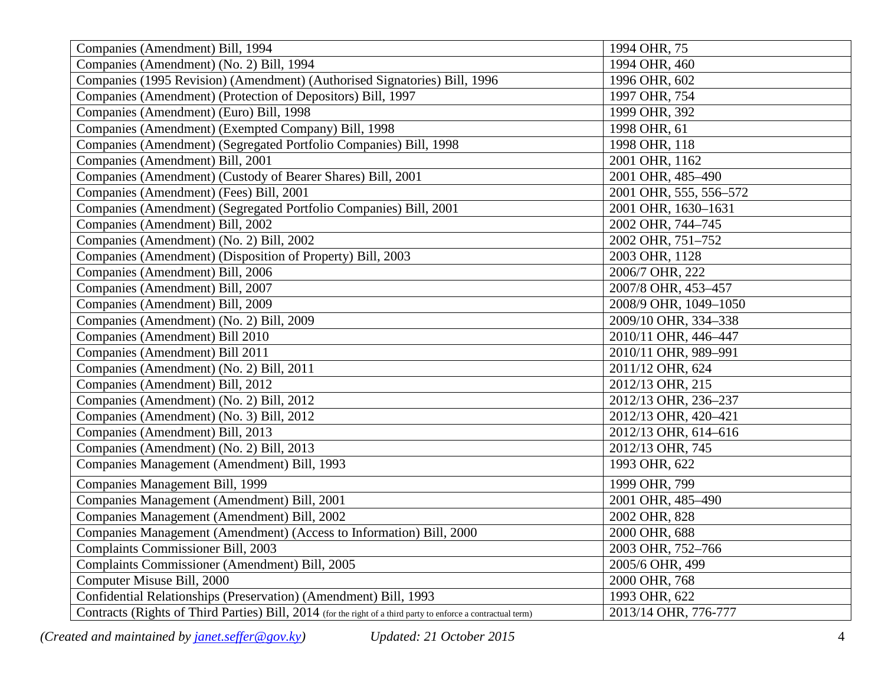| Companies (Amendment) Bill, 1994                                                                              | 1994 OHR, 75           |
|---------------------------------------------------------------------------------------------------------------|------------------------|
| Companies (Amendment) (No. 2) Bill, 1994                                                                      | 1994 OHR, 460          |
| Companies (1995 Revision) (Amendment) (Authorised Signatories) Bill, 1996                                     | 1996 OHR, 602          |
| Companies (Amendment) (Protection of Depositors) Bill, 1997                                                   | 1997 OHR, 754          |
| Companies (Amendment) (Euro) Bill, 1998                                                                       | 1999 OHR, 392          |
| Companies (Amendment) (Exempted Company) Bill, 1998                                                           | 1998 OHR, 61           |
| Companies (Amendment) (Segregated Portfolio Companies) Bill, 1998                                             | 1998 OHR, 118          |
| Companies (Amendment) Bill, 2001                                                                              | 2001 OHR, 1162         |
| Companies (Amendment) (Custody of Bearer Shares) Bill, 2001                                                   | 2001 OHR, 485-490      |
| Companies (Amendment) (Fees) Bill, 2001                                                                       | 2001 OHR, 555, 556-572 |
| Companies (Amendment) (Segregated Portfolio Companies) Bill, 2001                                             | 2001 OHR, 1630-1631    |
| Companies (Amendment) Bill, 2002                                                                              | 2002 OHR, 744-745      |
| Companies (Amendment) (No. 2) Bill, 2002                                                                      | 2002 OHR, 751-752      |
| Companies (Amendment) (Disposition of Property) Bill, 2003                                                    | 2003 OHR, 1128         |
| Companies (Amendment) Bill, 2006                                                                              | 2006/7 OHR, 222        |
| Companies (Amendment) Bill, 2007                                                                              | 2007/8 OHR, 453-457    |
| Companies (Amendment) Bill, 2009                                                                              | 2008/9 OHR, 1049-1050  |
| Companies (Amendment) (No. 2) Bill, 2009                                                                      | 2009/10 OHR, 334-338   |
| Companies (Amendment) Bill 2010                                                                               | 2010/11 OHR, 446-447   |
| Companies (Amendment) Bill 2011                                                                               | 2010/11 OHR, 989-991   |
| Companies (Amendment) (No. 2) Bill, 2011                                                                      | 2011/12 OHR, 624       |
| Companies (Amendment) Bill, 2012                                                                              | 2012/13 OHR, 215       |
| Companies (Amendment) (No. 2) Bill, 2012                                                                      | 2012/13 OHR, 236-237   |
| Companies (Amendment) (No. 3) Bill, 2012                                                                      | 2012/13 OHR, 420-421   |
| Companies (Amendment) Bill, 2013                                                                              | 2012/13 OHR, 614-616   |
| Companies (Amendment) (No. 2) Bill, 2013                                                                      | 2012/13 OHR, 745       |
| Companies Management (Amendment) Bill, 1993                                                                   | 1993 OHR, 622          |
| Companies Management Bill, 1999                                                                               | 1999 OHR, 799          |
| Companies Management (Amendment) Bill, 2001                                                                   | 2001 OHR, 485-490      |
| Companies Management (Amendment) Bill, 2002                                                                   | 2002 OHR, 828          |
| Companies Management (Amendment) (Access to Information) Bill, 2000                                           | 2000 OHR, 688          |
| <b>Complaints Commissioner Bill, 2003</b>                                                                     | 2003 OHR, 752-766      |
| Complaints Commissioner (Amendment) Bill, 2005                                                                | 2005/6 OHR, 499        |
| Computer Misuse Bill, 2000                                                                                    | 2000 OHR, 768          |
| Confidential Relationships (Preservation) (Amendment) Bill, 1993                                              | 1993 OHR, 622          |
| Contracts (Rights of Third Parties) Bill, 2014 (for the right of a third party to enforce a contractual term) | 2013/14 OHR, 776-777   |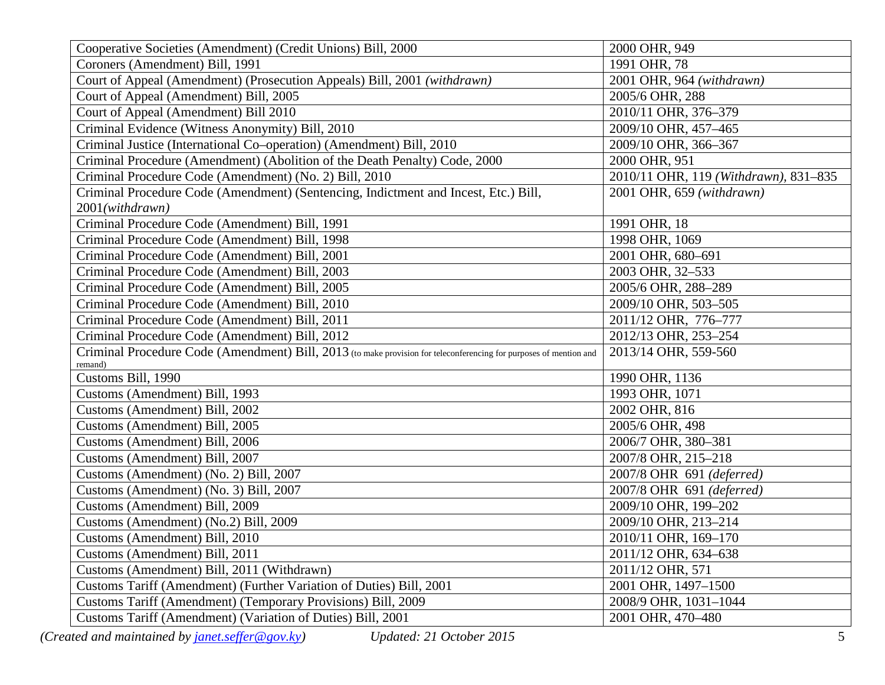| Cooperative Societies (Amendment) (Credit Unions) Bill, 2000                                                                  | 2000 OHR, 949                         |
|-------------------------------------------------------------------------------------------------------------------------------|---------------------------------------|
| Coroners (Amendment) Bill, 1991                                                                                               | 1991 OHR, 78                          |
| Court of Appeal (Amendment) (Prosecution Appeals) Bill, 2001 (withdrawn)                                                      | 2001 OHR, 964 (withdrawn)             |
| Court of Appeal (Amendment) Bill, 2005                                                                                        | 2005/6 OHR, 288                       |
| Court of Appeal (Amendment) Bill 2010                                                                                         | 2010/11 OHR, 376-379                  |
| Criminal Evidence (Witness Anonymity) Bill, 2010                                                                              | 2009/10 OHR, 457-465                  |
| Criminal Justice (International Co-operation) (Amendment) Bill, 2010                                                          | 2009/10 OHR, 366-367                  |
| Criminal Procedure (Amendment) (Abolition of the Death Penalty) Code, 2000                                                    | 2000 OHR, 951                         |
| Criminal Procedure Code (Amendment) (No. 2) Bill, 2010                                                                        | 2010/11 OHR, 119 (Withdrawn), 831-835 |
| Criminal Procedure Code (Amendment) (Sentencing, Indictment and Incest, Etc.) Bill,                                           | 2001 OHR, 659 (withdrawn)             |
| 2001(withdrawn)                                                                                                               |                                       |
| Criminal Procedure Code (Amendment) Bill, 1991                                                                                | 1991 OHR, 18                          |
| Criminal Procedure Code (Amendment) Bill, 1998                                                                                | 1998 OHR, 1069                        |
| Criminal Procedure Code (Amendment) Bill, 2001                                                                                | 2001 OHR, 680-691                     |
| Criminal Procedure Code (Amendment) Bill, 2003                                                                                | 2003 OHR, 32-533                      |
| Criminal Procedure Code (Amendment) Bill, 2005                                                                                | 2005/6 OHR, 288-289                   |
| Criminal Procedure Code (Amendment) Bill, 2010                                                                                | 2009/10 OHR, 503-505                  |
| Criminal Procedure Code (Amendment) Bill, 2011                                                                                | 2011/12 OHR, 776-777                  |
| Criminal Procedure Code (Amendment) Bill, 2012                                                                                | 2012/13 OHR, 253-254                  |
| Criminal Procedure Code (Amendment) Bill, 2013 (to make provision for teleconferencing for purposes of mention and<br>remand) | 2013/14 OHR, 559-560                  |
| Customs Bill, 1990                                                                                                            | 1990 OHR, 1136                        |
| Customs (Amendment) Bill, 1993                                                                                                | 1993 OHR, 1071                        |
| Customs (Amendment) Bill, 2002                                                                                                | 2002 OHR, 816                         |
| Customs (Amendment) Bill, 2005                                                                                                | 2005/6 OHR, 498                       |
| Customs (Amendment) Bill, 2006                                                                                                | 2006/7 OHR, 380-381                   |
| Customs (Amendment) Bill, 2007                                                                                                | 2007/8 OHR, 215-218                   |
| Customs (Amendment) (No. 2) Bill, 2007                                                                                        | 2007/8 OHR 691 (deferred)             |
| Customs (Amendment) (No. 3) Bill, 2007                                                                                        | 2007/8 OHR 691 (deferred)             |
| Customs (Amendment) Bill, 2009                                                                                                | 2009/10 OHR, 199-202                  |
| Customs (Amendment) (No.2) Bill, 2009                                                                                         | 2009/10 OHR, 213-214                  |
| Customs (Amendment) Bill, 2010                                                                                                | 2010/11 OHR, 169-170                  |
| Customs (Amendment) Bill, 2011                                                                                                | 2011/12 OHR, 634-638                  |
| Customs (Amendment) Bill, 2011 (Withdrawn)                                                                                    | 2011/12 OHR, 571                      |
| Customs Tariff (Amendment) (Further Variation of Duties) Bill, 2001                                                           | 2001 OHR, 1497-1500                   |
| Customs Tariff (Amendment) (Temporary Provisions) Bill, 2009                                                                  | 2008/9 OHR, 1031-1044                 |
| Customs Tariff (Amendment) (Variation of Duties) Bill, 2001                                                                   | 2001 OHR, 470-480                     |
| (Created and maintained by janet.seffer@gov.ky)<br>Updated: 21 October 2015                                                   | 5                                     |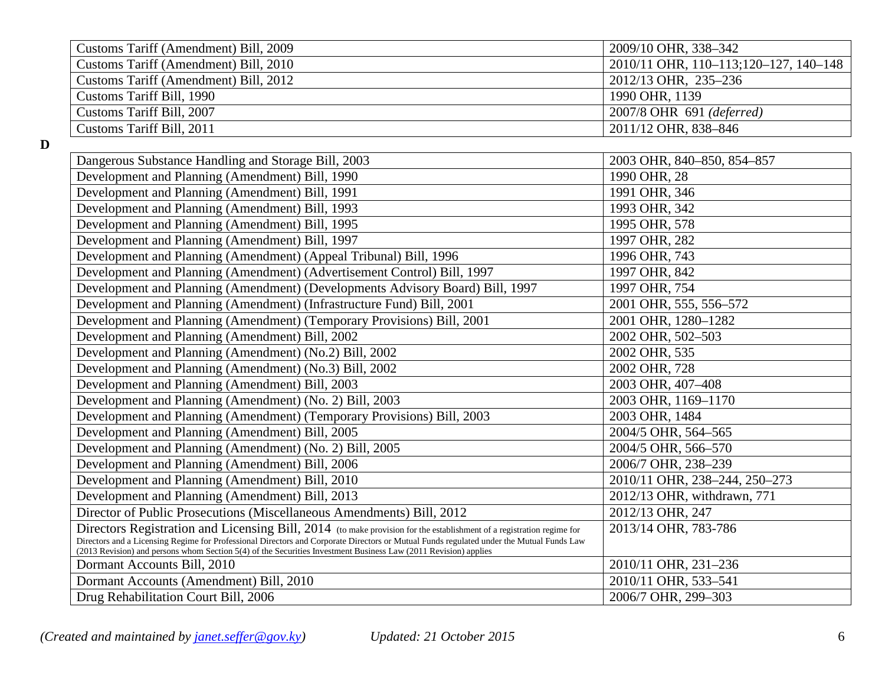| Customs Tariff (Amendment) Bill, 2009 | 2009/10 OHR, 338–342                  |
|---------------------------------------|---------------------------------------|
| Customs Tariff (Amendment) Bill, 2010 | 2010/11 OHR, 110-113;120-127, 140-148 |
| Customs Tariff (Amendment) Bill, 2012 | 2012/13 OHR, 235-236                  |
| Customs Tariff Bill, 1990             | 1990 OHR, 1139                        |
| Customs Tariff Bill, 2007             | 2007/8 OHR 691 (deferred)             |
| Customs Tariff Bill, 2011             | 2011/12 OHR, 838-846                  |

**D**

| 2003 OHR, 840-850, 854-857    |
|-------------------------------|
| 1990 OHR, 28                  |
| 1991 OHR, 346                 |
| 1993 OHR, 342                 |
| 1995 OHR, 578                 |
| 1997 OHR, 282                 |
| 1996 OHR, 743                 |
| 1997 OHR, 842                 |
| 1997 OHR, 754                 |
| 2001 OHR, 555, 556-572        |
| 2001 OHR, 1280-1282           |
| 2002 OHR, 502-503             |
| 2002 OHR, 535                 |
| 2002 OHR, 728                 |
| 2003 OHR, 407-408             |
| 2003 OHR, 1169-1170           |
| 2003 OHR, 1484                |
| 2004/5 OHR, 564-565           |
| 2004/5 OHR, 566-570           |
| 2006/7 OHR, 238-239           |
| 2010/11 OHR, 238-244, 250-273 |
| 2012/13 OHR, withdrawn, 771   |
| 2012/13 OHR, 247              |
| 2013/14 OHR, 783-786          |
|                               |
| 2010/11 OHR, 231-236          |
| 2010/11 OHR, 533-541          |
| 2006/7 OHR, 299-303           |
|                               |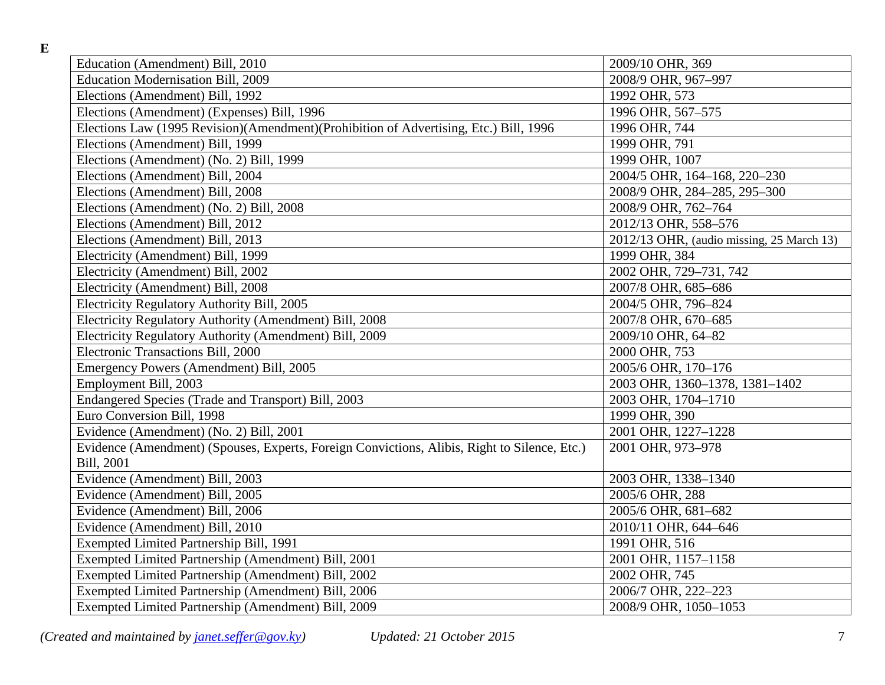**E**

| Education (Amendment) Bill, 2010                                                             | 2009/10 OHR, 369                          |
|----------------------------------------------------------------------------------------------|-------------------------------------------|
| <b>Education Modernisation Bill, 2009</b>                                                    | 2008/9 OHR, 967-997                       |
| Elections (Amendment) Bill, 1992                                                             | 1992 OHR, 573                             |
| Elections (Amendment) (Expenses) Bill, 1996                                                  | 1996 OHR, 567-575                         |
| Elections Law (1995 Revision)(Amendment)(Prohibition of Advertising, Etc.) Bill, 1996        | 1996 OHR, 744                             |
| Elections (Amendment) Bill, 1999                                                             | 1999 OHR, 791                             |
| Elections (Amendment) (No. 2) Bill, 1999                                                     | 1999 OHR, 1007                            |
| Elections (Amendment) Bill, 2004                                                             | 2004/5 OHR, 164-168, 220-230              |
| Elections (Amendment) Bill, 2008                                                             | 2008/9 OHR, 284-285, 295-300              |
| Elections (Amendment) (No. 2) Bill, 2008                                                     | 2008/9 OHR, 762-764                       |
| Elections (Amendment) Bill, 2012                                                             | 2012/13 OHR, 558-576                      |
| Elections (Amendment) Bill, 2013                                                             | 2012/13 OHR, (audio missing, 25 March 13) |
| Electricity (Amendment) Bill, 1999                                                           | 1999 OHR, 384                             |
| Electricity (Amendment) Bill, 2002                                                           | 2002 OHR, 729-731, 742                    |
| Electricity (Amendment) Bill, 2008                                                           | 2007/8 OHR, 685-686                       |
| Electricity Regulatory Authority Bill, 2005                                                  | 2004/5 OHR, 796-824                       |
| Electricity Regulatory Authority (Amendment) Bill, 2008                                      | 2007/8 OHR, 670-685                       |
| Electricity Regulatory Authority (Amendment) Bill, 2009                                      | 2009/10 OHR, 64-82                        |
| Electronic Transactions Bill, 2000                                                           | 2000 OHR, 753                             |
| Emergency Powers (Amendment) Bill, 2005                                                      | 2005/6 OHR, 170-176                       |
| Employment Bill, 2003                                                                        | 2003 OHR, 1360-1378, 1381-1402            |
| Endangered Species (Trade and Transport) Bill, 2003                                          | 2003 OHR, 1704-1710                       |
| Euro Conversion Bill, 1998                                                                   | 1999 OHR, 390                             |
| Evidence (Amendment) (No. 2) Bill, 2001                                                      | 2001 OHR, 1227-1228                       |
| Evidence (Amendment) (Spouses, Experts, Foreign Convictions, Alibis, Right to Silence, Etc.) | 2001 OHR, 973-978                         |
| Bill, 2001                                                                                   |                                           |
| Evidence (Amendment) Bill, 2003                                                              | 2003 OHR, 1338-1340                       |
| Evidence (Amendment) Bill, 2005                                                              | 2005/6 OHR, 288                           |
| Evidence (Amendment) Bill, 2006                                                              | 2005/6 OHR, 681-682                       |
| Evidence (Amendment) Bill, 2010                                                              | 2010/11 OHR, 644-646                      |
| Exempted Limited Partnership Bill, 1991                                                      | 1991 OHR, 516                             |
| Exempted Limited Partnership (Amendment) Bill, 2001                                          | 2001 OHR, 1157-1158                       |
| Exempted Limited Partnership (Amendment) Bill, 2002                                          | 2002 OHR, 745                             |
| Exempted Limited Partnership (Amendment) Bill, 2006                                          | 2006/7 OHR, 222-223                       |
| Exempted Limited Partnership (Amendment) Bill, 2009                                          | 2008/9 OHR, 1050-1053                     |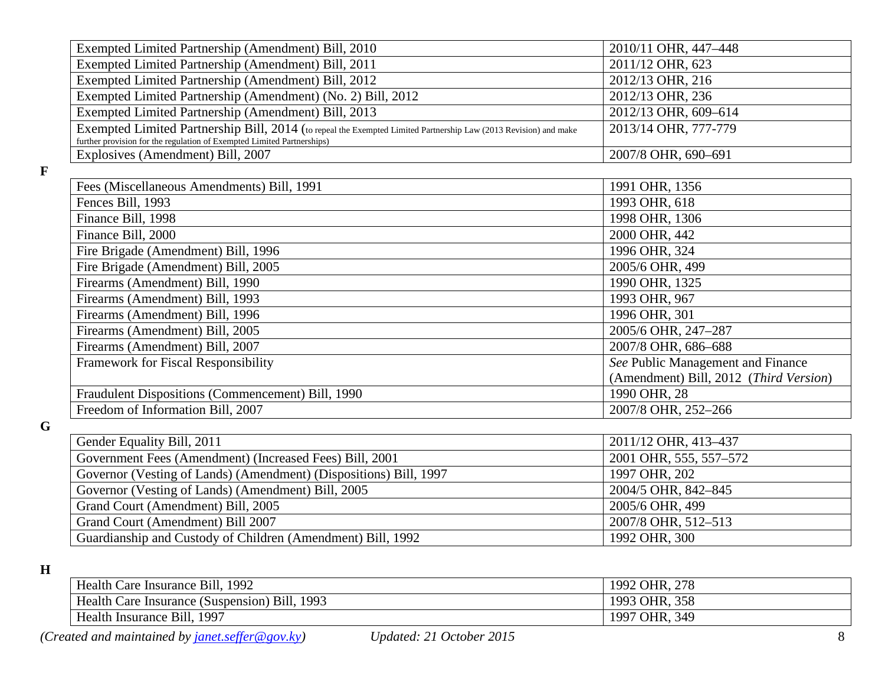| Exempted Limited Partnership (Amendment) Bill, 2010                                                                                                                                        | 2010/11 OHR, 447-448                   |
|--------------------------------------------------------------------------------------------------------------------------------------------------------------------------------------------|----------------------------------------|
| Exempted Limited Partnership (Amendment) Bill, 2011                                                                                                                                        | 2011/12 OHR, 623                       |
| Exempted Limited Partnership (Amendment) Bill, 2012                                                                                                                                        | 2012/13 OHR, 216                       |
| Exempted Limited Partnership (Amendment) (No. 2) Bill, 2012                                                                                                                                | 2012/13 OHR, 236                       |
| Exempted Limited Partnership (Amendment) Bill, 2013                                                                                                                                        | 2012/13 OHR, 609-614                   |
| Exempted Limited Partnership Bill, 2014 (to repeal the Exempted Limited Partnership Law (2013 Revision) and make<br>further provision for the regulation of Exempted Limited Partnerships) | 2013/14 OHR, 777-779                   |
| Explosives (Amendment) Bill, 2007                                                                                                                                                          | 2007/8 OHR, 690-691                    |
|                                                                                                                                                                                            |                                        |
| Fees (Miscellaneous Amendments) Bill, 1991                                                                                                                                                 | 1991 OHR, 1356                         |
| Fences Bill, 1993                                                                                                                                                                          | 1993 OHR, 618                          |
| Finance Bill, 1998                                                                                                                                                                         | 1998 OHR, 1306                         |
| Finance Bill, 2000                                                                                                                                                                         | 2000 OHR, 442                          |
| Fire Brigade (Amendment) Bill, 1996                                                                                                                                                        | 1996 OHR, 324                          |
| Fire Brigade (Amendment) Bill, 2005                                                                                                                                                        | 2005/6 OHR, 499                        |
| Firearms (Amendment) Bill, 1990                                                                                                                                                            | 1990 OHR, 1325                         |
| Firearms (Amendment) Bill, 1993                                                                                                                                                            | 1993 OHR, 967                          |
| Firearms (Amendment) Bill, 1996                                                                                                                                                            | 1996 OHR, 301                          |
| Firearms (Amendment) Bill, 2005                                                                                                                                                            | 2005/6 OHR, 247-287                    |
| Firearms (Amendment) Bill, 2007                                                                                                                                                            | 2007/8 OHR, 686-688                    |
| Framework for Fiscal Responsibility                                                                                                                                                        | See Public Management and Finance      |
|                                                                                                                                                                                            | (Amendment) Bill, 2012 (Third Version) |
| Fraudulent Dispositions (Commencement) Bill, 1990                                                                                                                                          | 1990 OHR, 28                           |
| Freedom of Information Bill, 2007                                                                                                                                                          | 2007/8 OHR, 252-266                    |
|                                                                                                                                                                                            |                                        |
| Gender Equality Bill, 2011                                                                                                                                                                 | 2011/12 OHR, 413-437                   |
| Government Fees (Amendment) (Increased Fees) Bill, 2001                                                                                                                                    | 2001 OHR, 555, 557-572                 |

| Gender Equality Bill, 2011                                        | 2011/12 OHR, 413–437   |
|-------------------------------------------------------------------|------------------------|
| Government Fees (Amendment) (Increased Fees) Bill, 2001           | 2001 OHR, 555, 557–572 |
| Governor (Vesting of Lands) (Amendment) (Dispositions) Bill, 1997 | 1997 OHR, 202          |
| Governor (Vesting of Lands) (Amendment) Bill, 2005                | 2004/5 OHR, 842-845    |
| Grand Court (Amendment) Bill, 2005                                | 2005/6 OHR, 499        |
| Grand Court (Amendment) Bill 2007                                 | 2007/8 OHR, 512-513    |
| Guardianship and Custody of Children (Amendment) Bill, 1992       | 1992 OHR, 300          |

**H**

**G**

**F**

| Health Care Insurance Bill, 1992              | 1992 OHR, 278 |
|-----------------------------------------------|---------------|
| Health Care Insurance (Suspension) Bill, 1993 | 1993 OHR, 358 |
| Health Insurance Bill, 1997                   | 1997 OHR, 349 |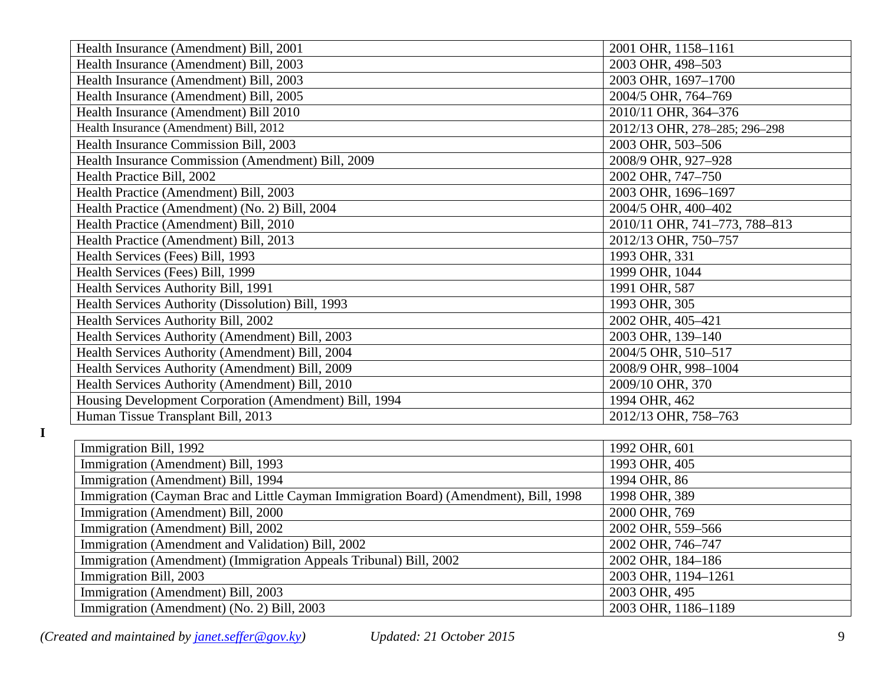| Health Insurance (Amendment) Bill, 2001                                               | 2001 OHR, 1158-1161           |
|---------------------------------------------------------------------------------------|-------------------------------|
| Health Insurance (Amendment) Bill, 2003                                               | 2003 OHR, 498-503             |
| Health Insurance (Amendment) Bill, 2003                                               | 2003 OHR, 1697-1700           |
| Health Insurance (Amendment) Bill, 2005                                               | 2004/5 OHR, 764-769           |
| Health Insurance (Amendment) Bill 2010                                                | 2010/11 OHR, 364-376          |
| Health Insurance (Amendment) Bill, 2012                                               | 2012/13 OHR, 278-285; 296-298 |
| Health Insurance Commission Bill, 2003                                                | 2003 OHR, 503-506             |
| Health Insurance Commission (Amendment) Bill, 2009                                    | 2008/9 OHR, 927-928           |
| Health Practice Bill, 2002                                                            | 2002 OHR, 747-750             |
| Health Practice (Amendment) Bill, 2003                                                | 2003 OHR, 1696-1697           |
| Health Practice (Amendment) (No. 2) Bill, 2004                                        | 2004/5 OHR, 400-402           |
| Health Practice (Amendment) Bill, 2010                                                | 2010/11 OHR, 741-773, 788-813 |
| Health Practice (Amendment) Bill, 2013                                                | 2012/13 OHR, 750-757          |
| Health Services (Fees) Bill, 1993                                                     | 1993 OHR, 331                 |
| Health Services (Fees) Bill, 1999                                                     | 1999 OHR, 1044                |
| Health Services Authority Bill, 1991                                                  | 1991 OHR, 587                 |
| Health Services Authority (Dissolution) Bill, 1993                                    | 1993 OHR, 305                 |
| Health Services Authority Bill, 2002                                                  | 2002 OHR, 405-421             |
| Health Services Authority (Amendment) Bill, 2003                                      | 2003 OHR, 139-140             |
| Health Services Authority (Amendment) Bill, 2004                                      | 2004/5 OHR, 510-517           |
| Health Services Authority (Amendment) Bill, 2009                                      | 2008/9 OHR, 998-1004          |
| Health Services Authority (Amendment) Bill, 2010                                      | 2009/10 OHR, 370              |
| Housing Development Corporation (Amendment) Bill, 1994                                | 1994 OHR, 462                 |
| Human Tissue Transplant Bill, 2013                                                    | 2012/13 OHR, 758-763          |
|                                                                                       |                               |
| Immigration Bill, 1992                                                                | 1992 OHR, 601                 |
| Immigration (Amendment) Bill, 1993                                                    | 1993 OHR, 405                 |
| Immigration (Amendment) Bill, 1994                                                    | 1994 OHR, 86                  |
| Immigration (Cayman Brac and Little Cayman Immigration Board) (Amendment), Bill, 1998 | 1998 OHR, 389                 |
| Immigration (Amendment) Bill, 2000                                                    | 2000 OHR, 769                 |
| Immigration (Amendment) Bill, 2002                                                    | 2002 OHR, 559-566             |
| Immigration (Amendment and Validation) Bill, 2002                                     | 2002 OHR, 746-747             |
| Immigration (Amendment) (Immigration Appeals Tribunal) Bill, 2002                     | 2002 OHR, 184-186             |

Immigration Bill, 2003<br>
Immigration (Amendment) Bill, 2003<br>
2003 OHR, 495<br>
2003 OHR, 495 Immigration (Amendment) Bill, 2003<br>
Immigration (Amendment) (No. 2) Bill, 2003<br>
2003 OHR, 1186-1189<br>
2003 OHR, 1186-1189 Immigration (Amendment) (No. 2) Bill, 2003

*(Created and maintained by [janet.seffer@gov.ky\)](mailto:janet.seffer@gov.ky) Updated: 21 October 2015* 9

**I**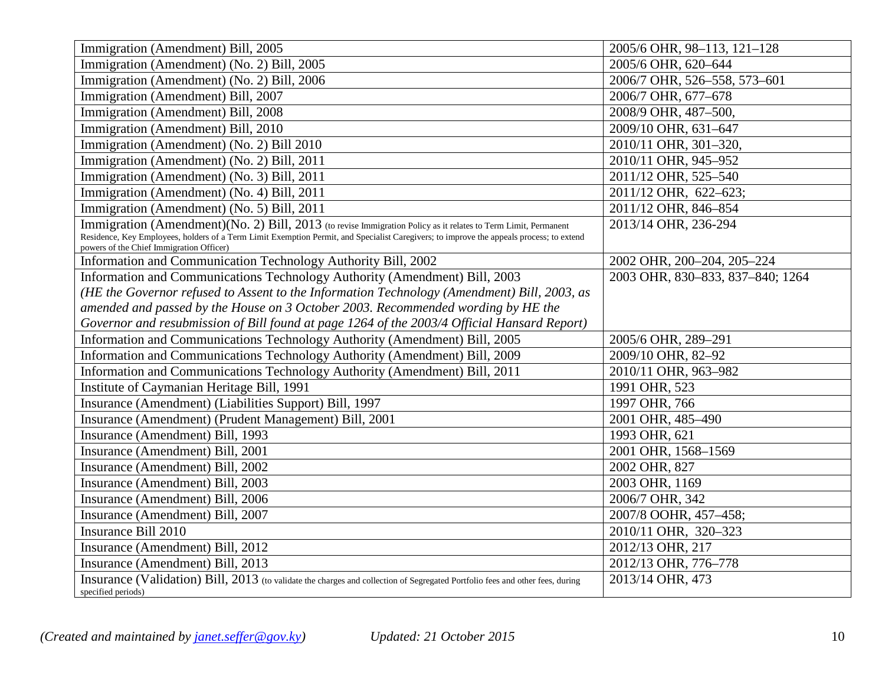| Immigration (Amendment) Bill, 2005                                                                                                                                                   | 2005/6 OHR, 98-113, 121-128      |
|--------------------------------------------------------------------------------------------------------------------------------------------------------------------------------------|----------------------------------|
| Immigration (Amendment) (No. 2) Bill, 2005                                                                                                                                           | 2005/6 OHR, 620-644              |
| Immigration (Amendment) (No. 2) Bill, 2006                                                                                                                                           | 2006/7 OHR, 526-558, 573-601     |
| Immigration (Amendment) Bill, 2007                                                                                                                                                   | 2006/7 OHR, 677-678              |
| Immigration (Amendment) Bill, 2008                                                                                                                                                   | 2008/9 OHR, 487-500,             |
| Immigration (Amendment) Bill, 2010                                                                                                                                                   | 2009/10 OHR, 631-647             |
| Immigration (Amendment) (No. 2) Bill 2010                                                                                                                                            | 2010/11 OHR, 301-320,            |
| Immigration (Amendment) (No. 2) Bill, 2011                                                                                                                                           | 2010/11 OHR, 945-952             |
| Immigration (Amendment) (No. 3) Bill, 2011                                                                                                                                           | 2011/12 OHR, 525-540             |
| Immigration (Amendment) (No. 4) Bill, 2011                                                                                                                                           | 2011/12 OHR, 622-623;            |
| Immigration (Amendment) (No. 5) Bill, 2011                                                                                                                                           | 2011/12 OHR, 846-854             |
| Immigration (Amendment)(No. 2) Bill, 2013 (to revise Immigration Policy as it relates to Term Limit, Permanent                                                                       | 2013/14 OHR, 236-294             |
| Residence, Key Employees, holders of a Term Limit Exemption Permit, and Specialist Caregivers; to improve the appeals process; to extend<br>powers of the Chief Immigration Officer) |                                  |
| Information and Communication Technology Authority Bill, 2002                                                                                                                        | 2002 OHR, 200-204, 205-224       |
| Information and Communications Technology Authority (Amendment) Bill, 2003                                                                                                           | 2003 OHR, 830-833, 837-840; 1264 |
| (HE the Governor refused to Assent to the Information Technology (Amendment) Bill, 2003, as                                                                                          |                                  |
| amended and passed by the House on 3 October 2003. Recommended wording by HE the                                                                                                     |                                  |
| Governor and resubmission of Bill found at page 1264 of the 2003/4 Official Hansard Report)                                                                                          |                                  |
| Information and Communications Technology Authority (Amendment) Bill, 2005                                                                                                           | 2005/6 OHR, 289-291              |
| Information and Communications Technology Authority (Amendment) Bill, 2009                                                                                                           | 2009/10 OHR, 82-92               |
| Information and Communications Technology Authority (Amendment) Bill, 2011                                                                                                           | 2010/11 OHR, 963-982             |
| Institute of Caymanian Heritage Bill, 1991                                                                                                                                           | 1991 OHR, 523                    |
| Insurance (Amendment) (Liabilities Support) Bill, 1997                                                                                                                               | 1997 OHR, 766                    |
| Insurance (Amendment) (Prudent Management) Bill, 2001                                                                                                                                | 2001 OHR, 485-490                |
| Insurance (Amendment) Bill, 1993                                                                                                                                                     | 1993 OHR, 621                    |
| Insurance (Amendment) Bill, 2001                                                                                                                                                     | 2001 OHR, 1568-1569              |
| Insurance (Amendment) Bill, 2002                                                                                                                                                     | 2002 OHR, 827                    |
| Insurance (Amendment) Bill, 2003                                                                                                                                                     | 2003 OHR, 1169                   |
| Insurance (Amendment) Bill, 2006                                                                                                                                                     | 2006/7 OHR, 342                  |
| Insurance (Amendment) Bill, 2007                                                                                                                                                     | 2007/8 OOHR, 457-458;            |
| Insurance Bill 2010                                                                                                                                                                  | 2010/11 OHR, 320-323             |
| Insurance (Amendment) Bill, 2012                                                                                                                                                     | 2012/13 OHR, 217                 |
| Insurance (Amendment) Bill, 2013                                                                                                                                                     | 2012/13 OHR, 776-778             |
| Insurance (Validation) Bill, 2013 (to validate the charges and collection of Segregated Portfolio fees and other fees, during<br>specified periods)                                  | 2013/14 OHR, 473                 |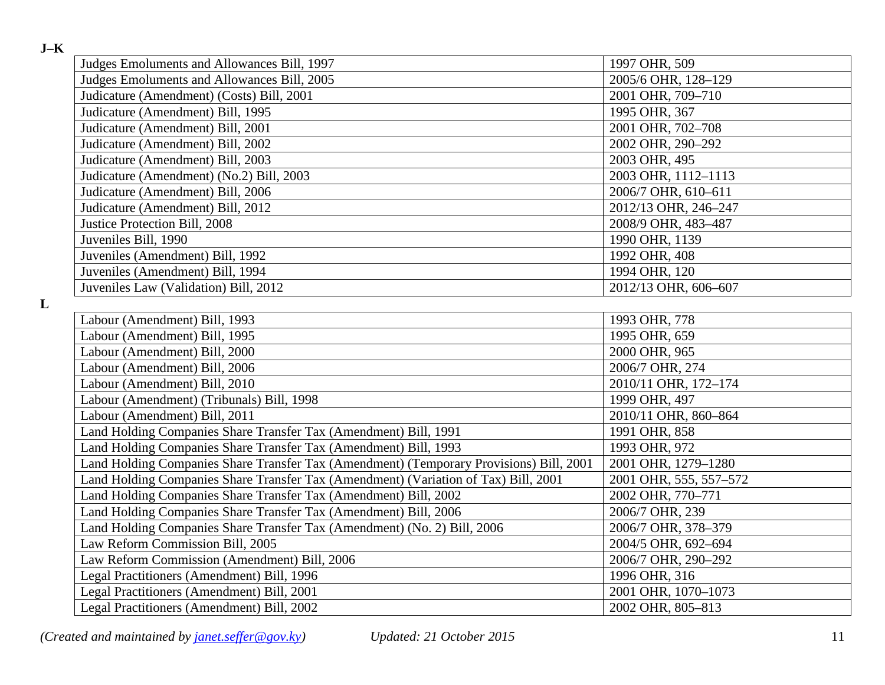| ۰, | ۰. |
|----|----|
|    |    |

**L**

| Judges Emoluments and Allowances Bill, 1997                                             | 1997 OHR, 509          |
|-----------------------------------------------------------------------------------------|------------------------|
| Judges Emoluments and Allowances Bill, 2005                                             | 2005/6 OHR, 128-129    |
| Judicature (Amendment) (Costs) Bill, 2001                                               | 2001 OHR, 709-710      |
| Judicature (Amendment) Bill, 1995                                                       | 1995 OHR, 367          |
| Judicature (Amendment) Bill, 2001                                                       | 2001 OHR, 702-708      |
| Judicature (Amendment) Bill, 2002                                                       | 2002 OHR, 290-292      |
| Judicature (Amendment) Bill, 2003                                                       | 2003 OHR, 495          |
| Judicature (Amendment) (No.2) Bill, 2003                                                | 2003 OHR, 1112-1113    |
| Judicature (Amendment) Bill, 2006                                                       | 2006/7 OHR, 610-611    |
| Judicature (Amendment) Bill, 2012                                                       | 2012/13 OHR, 246-247   |
| Justice Protection Bill, 2008                                                           | 2008/9 OHR, 483-487    |
| Juveniles Bill, 1990                                                                    | 1990 OHR, 1139         |
| Juveniles (Amendment) Bill, 1992                                                        | 1992 OHR, 408          |
| Juveniles (Amendment) Bill, 1994                                                        | 1994 OHR, 120          |
| Juveniles Law (Validation) Bill, 2012                                                   | 2012/13 OHR, 606-607   |
|                                                                                         |                        |
| Labour (Amendment) Bill, 1993                                                           | 1993 OHR, 778          |
| Labour (Amendment) Bill, 1995                                                           | 1995 OHR, 659          |
| Labour (Amendment) Bill, 2000                                                           | 2000 OHR, 965          |
| Labour (Amendment) Bill, 2006                                                           | 2006/7 OHR, 274        |
| Labour (Amendment) Bill, 2010                                                           | 2010/11 OHR, 172-174   |
| Labour (Amendment) (Tribunals) Bill, 1998                                               | 1999 OHR, 497          |
| Labour (Amendment) Bill, 2011                                                           | 2010/11 OHR, 860-864   |
| Land Holding Companies Share Transfer Tax (Amendment) Bill, 1991                        | 1991 OHR, 858          |
| Land Holding Companies Share Transfer Tax (Amendment) Bill, 1993                        | 1993 OHR, 972          |
| Land Holding Companies Share Transfer Tax (Amendment) (Temporary Provisions) Bill, 2001 | 2001 OHR, 1279-1280    |
| Land Holding Companies Share Transfer Tax (Amendment) (Variation of Tax) Bill, 2001     | 2001 OHR, 555, 557-572 |
| Land Holding Companies Share Transfer Tax (Amendment) Bill, 2002                        | 2002 OHR, 770-771      |
| Land Holding Companies Share Transfer Tax (Amendment) Bill, 2006                        | 2006/7 OHR, 239        |
| Land Holding Companies Share Transfer Tax (Amendment) (No. 2) Bill, 2006                | 2006/7 OHR, 378-379    |
| Law Reform Commission Bill, 2005                                                        | 2004/5 OHR, 692-694    |
| Law Reform Commission (Amendment) Bill, 2006                                            | 2006/7 OHR, 290-292    |
| Legal Practitioners (Amendment) Bill, 1996                                              | 1996 OHR, 316          |
| Legal Practitioners (Amendment) Bill, 2001                                              | 2001 OHR, 1070-1073    |
| Legal Practitioners (Amendment) Bill, 2002                                              | 2002 OHR, 805-813      |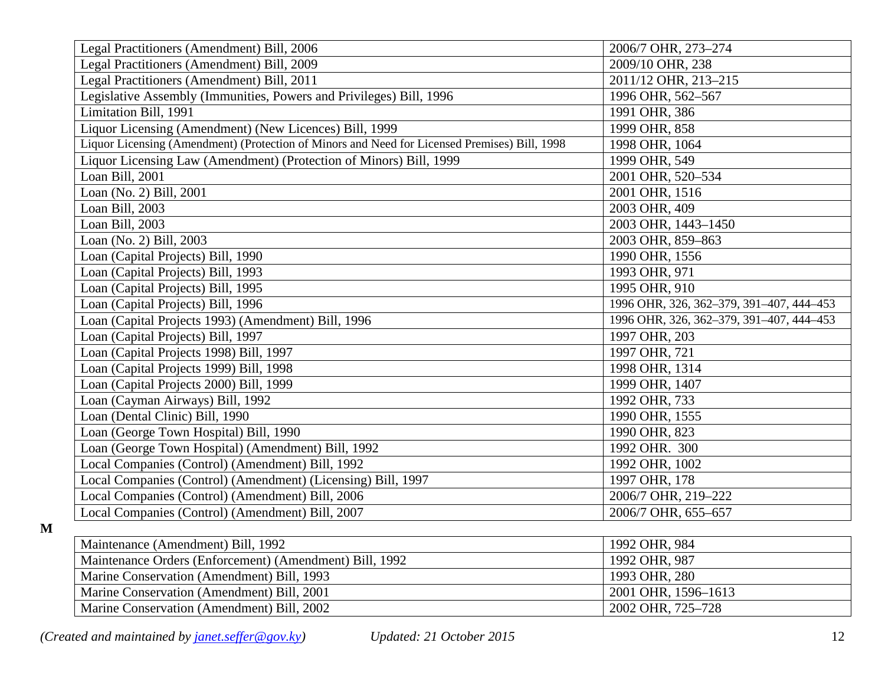| Legal Practitioners (Amendment) Bill, 2006                                                    | 2006/7 OHR, 273-274                      |
|-----------------------------------------------------------------------------------------------|------------------------------------------|
| Legal Practitioners (Amendment) Bill, 2009                                                    | 2009/10 OHR, 238                         |
| Legal Practitioners (Amendment) Bill, 2011                                                    | 2011/12 OHR, 213-215                     |
| Legislative Assembly (Immunities, Powers and Privileges) Bill, 1996                           | 1996 OHR, 562-567                        |
| Limitation Bill, 1991                                                                         | 1991 OHR, 386                            |
| Liquor Licensing (Amendment) (New Licences) Bill, 1999                                        | 1999 OHR, 858                            |
| Liquor Licensing (Amendment) (Protection of Minors and Need for Licensed Premises) Bill, 1998 | 1998 OHR, 1064                           |
| Liquor Licensing Law (Amendment) (Protection of Minors) Bill, 1999                            | 1999 OHR, 549                            |
| Loan Bill, 2001                                                                               | 2001 OHR, 520-534                        |
| Loan (No. 2) Bill, 2001                                                                       | 2001 OHR, 1516                           |
| Loan Bill, 2003                                                                               | 2003 OHR, 409                            |
| Loan Bill, 2003                                                                               | 2003 OHR, 1443-1450                      |
| Loan (No. 2) Bill, 2003                                                                       | 2003 OHR, 859-863                        |
| Loan (Capital Projects) Bill, 1990                                                            | 1990 OHR, 1556                           |
| Loan (Capital Projects) Bill, 1993                                                            | 1993 OHR, 971                            |
| Loan (Capital Projects) Bill, 1995                                                            | 1995 OHR, 910                            |
| Loan (Capital Projects) Bill, 1996                                                            | 1996 OHR, 326, 362-379, 391-407, 444-453 |
| Loan (Capital Projects 1993) (Amendment) Bill, 1996                                           | 1996 OHR, 326, 362-379, 391-407, 444-453 |
| Loan (Capital Projects) Bill, 1997                                                            | 1997 OHR, 203                            |
| Loan (Capital Projects 1998) Bill, 1997                                                       | 1997 OHR, 721                            |
| Loan (Capital Projects 1999) Bill, 1998                                                       | 1998 OHR, 1314                           |
| Loan (Capital Projects 2000) Bill, 1999                                                       | 1999 OHR, 1407                           |
| Loan (Cayman Airways) Bill, 1992                                                              | 1992 OHR, 733                            |
| Loan (Dental Clinic) Bill, 1990                                                               | 1990 OHR, 1555                           |
| Loan (George Town Hospital) Bill, 1990                                                        | 1990 OHR, 823                            |
| Loan (George Town Hospital) (Amendment) Bill, 1992                                            | 1992 OHR. 300                            |
| Local Companies (Control) (Amendment) Bill, 1992                                              | 1992 OHR, 1002                           |
| Local Companies (Control) (Amendment) (Licensing) Bill, 1997                                  | 1997 OHR, 178                            |
| Local Companies (Control) (Amendment) Bill, 2006                                              | 2006/7 OHR, 219-222                      |
| Local Companies (Control) (Amendment) Bill, 2007                                              | 2006/7 OHR, 655-657                      |
|                                                                                               |                                          |

**M**

| Maintenance (Amendment) Bill, 1992                      | 1992 OHR, 984       |
|---------------------------------------------------------|---------------------|
| Maintenance Orders (Enforcement) (Amendment) Bill, 1992 | 1992 OHR, 987       |
| Marine Conservation (Amendment) Bill, 1993              | 1993 OHR, 280       |
| Marine Conservation (Amendment) Bill, 2001              | 2001 OHR, 1596-1613 |
| Marine Conservation (Amendment) Bill, 2002              | 2002 OHR, 725-728   |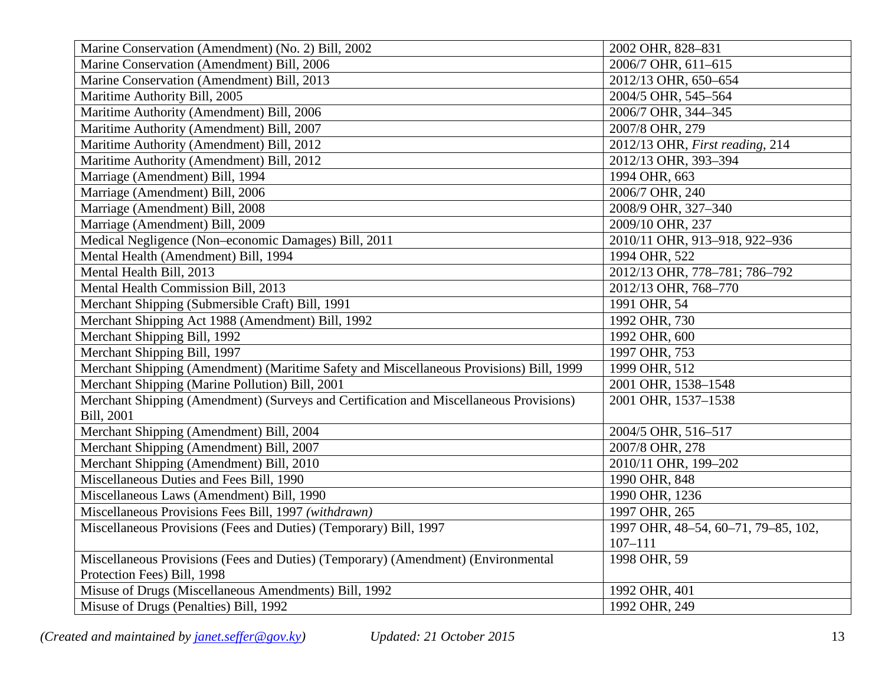| Marine Conservation (Amendment) (No. 2) Bill, 2002                                      | 2002 OHR, 828-831                   |
|-----------------------------------------------------------------------------------------|-------------------------------------|
| Marine Conservation (Amendment) Bill, 2006                                              | 2006/7 OHR, 611-615                 |
| Marine Conservation (Amendment) Bill, 2013                                              | 2012/13 OHR, 650-654                |
| Maritime Authority Bill, 2005                                                           | 2004/5 OHR, 545-564                 |
| Maritime Authority (Amendment) Bill, 2006                                               | 2006/7 OHR, 344-345                 |
| Maritime Authority (Amendment) Bill, 2007                                               | 2007/8 OHR, 279                     |
| Maritime Authority (Amendment) Bill, 2012                                               | 2012/13 OHR, First reading, 214     |
| Maritime Authority (Amendment) Bill, 2012                                               | 2012/13 OHR, 393-394                |
| Marriage (Amendment) Bill, 1994                                                         | 1994 OHR, 663                       |
| Marriage (Amendment) Bill, 2006                                                         | 2006/7 OHR, 240                     |
| Marriage (Amendment) Bill, 2008                                                         | 2008/9 OHR, 327-340                 |
| Marriage (Amendment) Bill, 2009                                                         | 2009/10 OHR, 237                    |
| Medical Negligence (Non-economic Damages) Bill, 2011                                    | 2010/11 OHR, 913-918, 922-936       |
| Mental Health (Amendment) Bill, 1994                                                    | 1994 OHR, 522                       |
| Mental Health Bill, 2013                                                                | 2012/13 OHR, 778-781; 786-792       |
| Mental Health Commission Bill, 2013                                                     | 2012/13 OHR, 768-770                |
| Merchant Shipping (Submersible Craft) Bill, 1991                                        | 1991 OHR, 54                        |
| Merchant Shipping Act 1988 (Amendment) Bill, 1992                                       | 1992 OHR, 730                       |
| Merchant Shipping Bill, 1992                                                            | 1992 OHR, 600                       |
| Merchant Shipping Bill, 1997                                                            | 1997 OHR, 753                       |
| Merchant Shipping (Amendment) (Maritime Safety and Miscellaneous Provisions) Bill, 1999 | 1999 OHR, 512                       |
| Merchant Shipping (Marine Pollution) Bill, 2001                                         | 2001 OHR, 1538-1548                 |
| Merchant Shipping (Amendment) (Surveys and Certification and Miscellaneous Provisions)  | 2001 OHR, 1537-1538                 |
| Bill, 2001                                                                              |                                     |
| Merchant Shipping (Amendment) Bill, 2004                                                | 2004/5 OHR, 516-517                 |
| Merchant Shipping (Amendment) Bill, 2007                                                | 2007/8 OHR, 278                     |
| Merchant Shipping (Amendment) Bill, 2010                                                | 2010/11 OHR, 199-202                |
| Miscellaneous Duties and Fees Bill, 1990                                                | 1990 OHR, 848                       |
| Miscellaneous Laws (Amendment) Bill, 1990                                               | 1990 OHR, 1236                      |
| Miscellaneous Provisions Fees Bill, 1997 (withdrawn)                                    | 1997 OHR, 265                       |
| Miscellaneous Provisions (Fees and Duties) (Temporary) Bill, 1997                       | 1997 OHR, 48-54, 60-71, 79-85, 102, |
|                                                                                         | $107 - 111$                         |
| Miscellaneous Provisions (Fees and Duties) (Temporary) (Amendment) (Environmental       | 1998 OHR, 59                        |
| Protection Fees) Bill, 1998                                                             |                                     |
| Misuse of Drugs (Miscellaneous Amendments) Bill, 1992                                   | 1992 OHR, 401                       |
| Misuse of Drugs (Penalties) Bill, 1992                                                  | 1992 OHR, 249                       |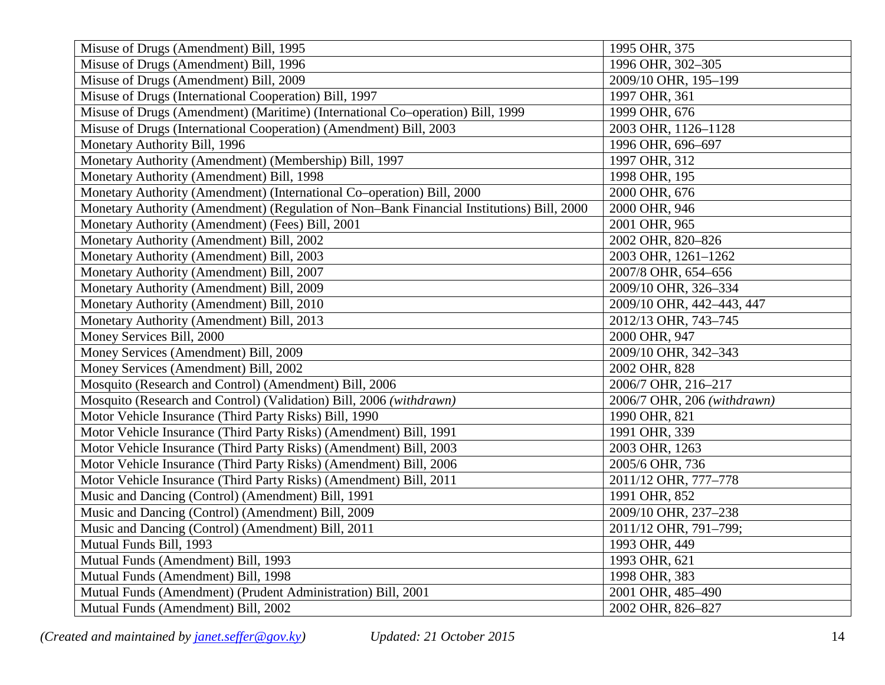| Misuse of Drugs (Amendment) Bill, 1995                                                    | 1995 OHR, 375               |
|-------------------------------------------------------------------------------------------|-----------------------------|
| Misuse of Drugs (Amendment) Bill, 1996                                                    | 1996 OHR, 302-305           |
| Misuse of Drugs (Amendment) Bill, 2009                                                    | 2009/10 OHR, 195-199        |
| Misuse of Drugs (International Cooperation) Bill, 1997                                    | 1997 OHR, 361               |
| Misuse of Drugs (Amendment) (Maritime) (International Co-operation) Bill, 1999            | 1999 OHR, 676               |
| Misuse of Drugs (International Cooperation) (Amendment) Bill, 2003                        | 2003 OHR, 1126-1128         |
| Monetary Authority Bill, 1996                                                             | 1996 OHR, 696-697           |
| Monetary Authority (Amendment) (Membership) Bill, 1997                                    | 1997 OHR, 312               |
| Monetary Authority (Amendment) Bill, 1998                                                 | 1998 OHR, 195               |
| Monetary Authority (Amendment) (International Co-operation) Bill, 2000                    | 2000 OHR, 676               |
| Monetary Authority (Amendment) (Regulation of Non-Bank Financial Institutions) Bill, 2000 | 2000 OHR, 946               |
| Monetary Authority (Amendment) (Fees) Bill, 2001                                          | 2001 OHR, 965               |
| Monetary Authority (Amendment) Bill, 2002                                                 | 2002 OHR, 820-826           |
| Monetary Authority (Amendment) Bill, 2003                                                 | 2003 OHR, 1261-1262         |
| Monetary Authority (Amendment) Bill, 2007                                                 | 2007/8 OHR, 654-656         |
| Monetary Authority (Amendment) Bill, 2009                                                 | 2009/10 OHR, 326-334        |
| Monetary Authority (Amendment) Bill, 2010                                                 | 2009/10 OHR, 442-443, 447   |
| Monetary Authority (Amendment) Bill, 2013                                                 | 2012/13 OHR, 743-745        |
| Money Services Bill, 2000                                                                 | 2000 OHR, 947               |
| Money Services (Amendment) Bill, 2009                                                     | 2009/10 OHR, 342-343        |
| Money Services (Amendment) Bill, 2002                                                     | 2002 OHR, 828               |
| Mosquito (Research and Control) (Amendment) Bill, 2006                                    | 2006/7 OHR, 216-217         |
| Mosquito (Research and Control) (Validation) Bill, 2006 (withdrawn)                       | 2006/7 OHR, 206 (withdrawn) |
| Motor Vehicle Insurance (Third Party Risks) Bill, 1990                                    | 1990 OHR, 821               |
| Motor Vehicle Insurance (Third Party Risks) (Amendment) Bill, 1991                        | 1991 OHR, 339               |
| Motor Vehicle Insurance (Third Party Risks) (Amendment) Bill, 2003                        | 2003 OHR, 1263              |
| Motor Vehicle Insurance (Third Party Risks) (Amendment) Bill, 2006                        | 2005/6 OHR, 736             |
| Motor Vehicle Insurance (Third Party Risks) (Amendment) Bill, 2011                        | 2011/12 OHR, 777-778        |
| Music and Dancing (Control) (Amendment) Bill, 1991                                        | 1991 OHR, 852               |
| Music and Dancing (Control) (Amendment) Bill, 2009                                        | 2009/10 OHR, 237-238        |
| Music and Dancing (Control) (Amendment) Bill, 2011                                        | 2011/12 OHR, 791-799;       |
| Mutual Funds Bill, 1993                                                                   | 1993 OHR, 449               |
| Mutual Funds (Amendment) Bill, 1993                                                       | 1993 OHR, 621               |
| Mutual Funds (Amendment) Bill, 1998                                                       | 1998 OHR, 383               |
| Mutual Funds (Amendment) (Prudent Administration) Bill, 2001                              | 2001 OHR, 485-490           |
| Mutual Funds (Amendment) Bill, 2002                                                       | 2002 OHR, 826-827           |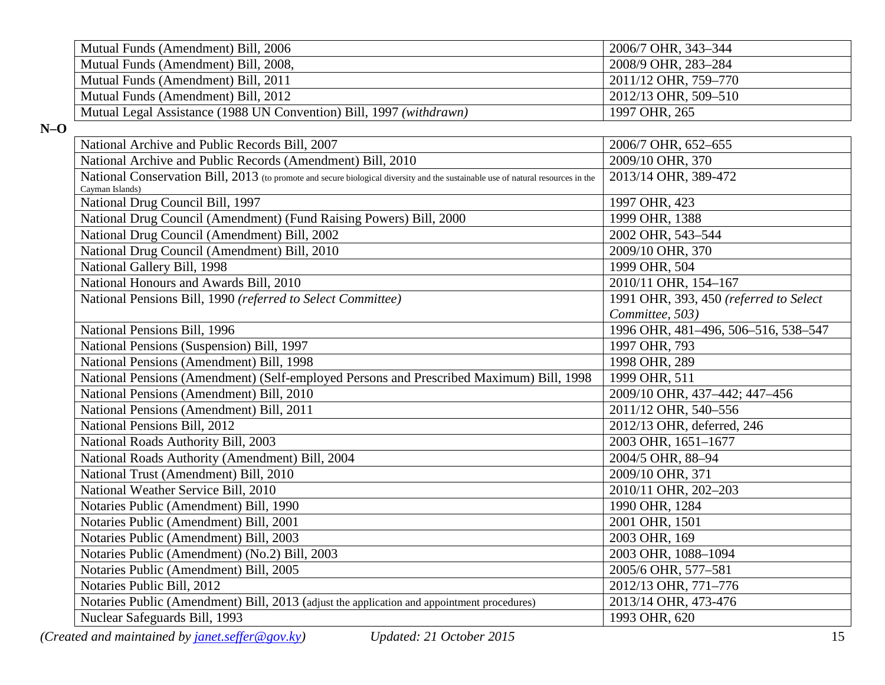| Mutual Funds (Amendment) Bill, 2006                                 | 2006/7 OHR, 343-344  |
|---------------------------------------------------------------------|----------------------|
| Mutual Funds (Amendment) Bill, 2008,                                | 2008/9 OHR, 283-284  |
| Mutual Funds (Amendment) Bill, 2011                                 | 2011/12 OHR, 759–770 |
| Mutual Funds (Amendment) Bill, 2012                                 | 2012/13 OHR, 509–510 |
| Mutual Legal Assistance (1988 UN Convention) Bill, 1997 (withdrawn) | 1997 OHR, 265        |

**N–O**

| National Archive and Public Records Bill, 2007                                                                                                      | 2006/7 OHR, 652-655                    |
|-----------------------------------------------------------------------------------------------------------------------------------------------------|----------------------------------------|
| National Archive and Public Records (Amendment) Bill, 2010                                                                                          | 2009/10 OHR, 370                       |
| National Conservation Bill, 2013 (to promote and secure biological diversity and the sustainable use of natural resources in the<br>Cayman Islands) | 2013/14 OHR, 389-472                   |
| National Drug Council Bill, 1997                                                                                                                    | 1997 OHR, 423                          |
| National Drug Council (Amendment) (Fund Raising Powers) Bill, 2000                                                                                  | 1999 OHR, 1388                         |
| National Drug Council (Amendment) Bill, 2002                                                                                                        | 2002 OHR, 543-544                      |
| National Drug Council (Amendment) Bill, 2010                                                                                                        | 2009/10 OHR, 370                       |
| National Gallery Bill, 1998                                                                                                                         | 1999 OHR, 504                          |
| National Honours and Awards Bill, 2010                                                                                                              | 2010/11 OHR, 154-167                   |
| National Pensions Bill, 1990 (referred to Select Committee)                                                                                         | 1991 OHR, 393, 450 (referred to Select |
|                                                                                                                                                     | Committee, 503)                        |
| National Pensions Bill, 1996                                                                                                                        | 1996 OHR, 481-496, 506-516, 538-547    |
| National Pensions (Suspension) Bill, 1997                                                                                                           | 1997 OHR, 793                          |
| National Pensions (Amendment) Bill, 1998                                                                                                            | 1998 OHR, 289                          |
| National Pensions (Amendment) (Self-employed Persons and Prescribed Maximum) Bill, 1998                                                             | 1999 OHR, 511                          |
| National Pensions (Amendment) Bill, 2010                                                                                                            | 2009/10 OHR, 437-442; 447-456          |
| National Pensions (Amendment) Bill, 2011                                                                                                            | 2011/12 OHR, 540-556                   |
| National Pensions Bill, 2012                                                                                                                        | 2012/13 OHR, deferred, 246             |
| National Roads Authority Bill, 2003                                                                                                                 | 2003 OHR, 1651-1677                    |
| National Roads Authority (Amendment) Bill, 2004                                                                                                     | 2004/5 OHR, 88-94                      |
| National Trust (Amendment) Bill, 2010                                                                                                               | 2009/10 OHR, 371                       |
| National Weather Service Bill, 2010                                                                                                                 | 2010/11 OHR, 202-203                   |
| Notaries Public (Amendment) Bill, 1990                                                                                                              | 1990 OHR, 1284                         |
| Notaries Public (Amendment) Bill, 2001                                                                                                              | 2001 OHR, 1501                         |
| Notaries Public (Amendment) Bill, 2003                                                                                                              | 2003 OHR, 169                          |
| Notaries Public (Amendment) (No.2) Bill, 2003                                                                                                       | 2003 OHR, 1088-1094                    |
| Notaries Public (Amendment) Bill, 2005                                                                                                              | 2005/6 OHR, 577-581                    |
| Notaries Public Bill, 2012                                                                                                                          | 2012/13 OHR, 771-776                   |
| Notaries Public (Amendment) Bill, 2013 (adjust the application and appointment procedures)                                                          | 2013/14 OHR, 473-476                   |
| Nuclear Safeguards Bill, 1993                                                                                                                       | 1993 OHR, 620                          |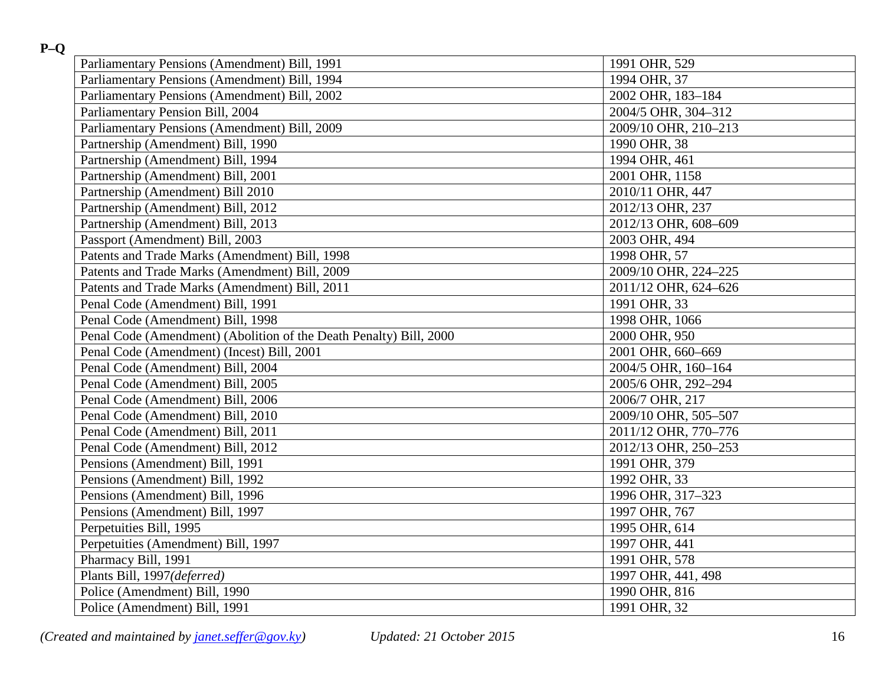| Parliamentary Pensions (Amendment) Bill, 1991                      | 1991 OHR, 529        |
|--------------------------------------------------------------------|----------------------|
| Parliamentary Pensions (Amendment) Bill, 1994                      | 1994 OHR, 37         |
| Parliamentary Pensions (Amendment) Bill, 2002                      | 2002 OHR, 183-184    |
| Parliamentary Pension Bill, 2004                                   | 2004/5 OHR, 304-312  |
| Parliamentary Pensions (Amendment) Bill, 2009                      | 2009/10 OHR, 210-213 |
| Partnership (Amendment) Bill, 1990                                 | 1990 OHR, 38         |
| Partnership (Amendment) Bill, 1994                                 | 1994 OHR, 461        |
| Partnership (Amendment) Bill, 2001                                 | 2001 OHR, 1158       |
| Partnership (Amendment) Bill 2010                                  | 2010/11 OHR, 447     |
| Partnership (Amendment) Bill, 2012                                 | 2012/13 OHR, 237     |
| Partnership (Amendment) Bill, 2013                                 | 2012/13 OHR, 608-609 |
| Passport (Amendment) Bill, 2003                                    | 2003 OHR, 494        |
| Patents and Trade Marks (Amendment) Bill, 1998                     | 1998 OHR, 57         |
| Patents and Trade Marks (Amendment) Bill, 2009                     | 2009/10 OHR, 224-225 |
| Patents and Trade Marks (Amendment) Bill, 2011                     | 2011/12 OHR, 624-626 |
| Penal Code (Amendment) Bill, 1991                                  | 1991 OHR, 33         |
| Penal Code (Amendment) Bill, 1998                                  | 1998 OHR, 1066       |
| Penal Code (Amendment) (Abolition of the Death Penalty) Bill, 2000 | 2000 OHR, 950        |
| Penal Code (Amendment) (Incest) Bill, 2001                         | 2001 OHR, 660-669    |
| Penal Code (Amendment) Bill, 2004                                  | 2004/5 OHR, 160-164  |
| Penal Code (Amendment) Bill, 2005                                  | 2005/6 OHR, 292-294  |
| Penal Code (Amendment) Bill, 2006                                  | 2006/7 OHR, 217      |
| Penal Code (Amendment) Bill, 2010                                  | 2009/10 OHR, 505-507 |
| Penal Code (Amendment) Bill, 2011                                  | 2011/12 OHR, 770-776 |
| Penal Code (Amendment) Bill, 2012                                  | 2012/13 OHR, 250-253 |
| Pensions (Amendment) Bill, 1991                                    | 1991 OHR, 379        |
| Pensions (Amendment) Bill, 1992                                    | 1992 OHR, 33         |
| Pensions (Amendment) Bill, 1996                                    | 1996 OHR, 317-323    |
| Pensions (Amendment) Bill, 1997                                    | 1997 OHR, 767        |
| Perpetuities Bill, 1995                                            | 1995 OHR, 614        |
| Perpetuities (Amendment) Bill, 1997                                | 1997 OHR, 441        |
| Pharmacy Bill, 1991                                                | 1991 OHR, 578        |
| Plants Bill, 1997(deferred)                                        | 1997 OHR, 441, 498   |
| Police (Amendment) Bill, 1990                                      | 1990 OHR, 816        |
| Police (Amendment) Bill, 1991                                      | 1991 OHR, 32         |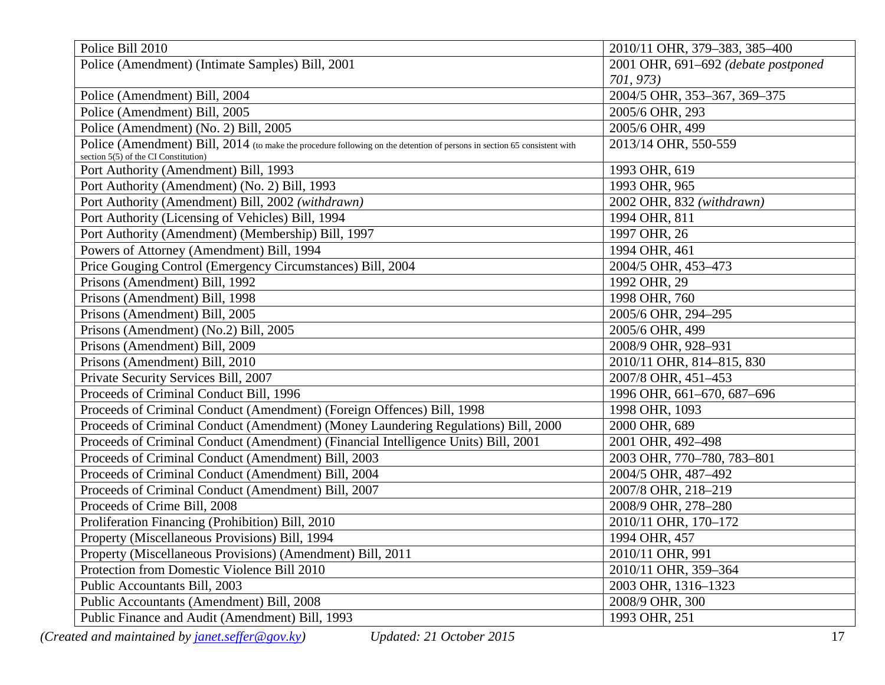| Police Bill 2010                                                                                                                                                 | 2010/11 OHR, 379-383, 385-400       |
|------------------------------------------------------------------------------------------------------------------------------------------------------------------|-------------------------------------|
| Police (Amendment) (Intimate Samples) Bill, 2001                                                                                                                 | 2001 OHR, 691-692 (debate postponed |
|                                                                                                                                                                  | 701, 973)                           |
| Police (Amendment) Bill, 2004                                                                                                                                    | 2004/5 OHR, 353-367, 369-375        |
| Police (Amendment) Bill, 2005                                                                                                                                    | 2005/6 OHR, 293                     |
| Police (Amendment) (No. 2) Bill, 2005                                                                                                                            | 2005/6 OHR, 499                     |
| Police (Amendment) Bill, 2014 (to make the procedure following on the detention of persons in section 65 consistent with<br>section 5(5) of the CI Constitution) | 2013/14 OHR, 550-559                |
| Port Authority (Amendment) Bill, 1993                                                                                                                            | 1993 OHR, 619                       |
| Port Authority (Amendment) (No. 2) Bill, 1993                                                                                                                    | 1993 OHR, 965                       |
| Port Authority (Amendment) Bill, 2002 (withdrawn)                                                                                                                | 2002 OHR, 832 (withdrawn)           |
| Port Authority (Licensing of Vehicles) Bill, 1994                                                                                                                | 1994 OHR, 811                       |
| Port Authority (Amendment) (Membership) Bill, 1997                                                                                                               | 1997 OHR, 26                        |
| Powers of Attorney (Amendment) Bill, 1994                                                                                                                        | 1994 OHR, 461                       |
| Price Gouging Control (Emergency Circumstances) Bill, 2004<br>2004/5 OHR, 453-473                                                                                |                                     |
| Prisons (Amendment) Bill, 1992                                                                                                                                   | 1992 OHR, 29                        |
| Prisons (Amendment) Bill, 1998                                                                                                                                   | 1998 OHR, 760                       |
| Prisons (Amendment) Bill, 2005                                                                                                                                   | 2005/6 OHR, 294-295                 |
| Prisons (Amendment) (No.2) Bill, 2005                                                                                                                            | 2005/6 OHR, 499                     |
| Prisons (Amendment) Bill, 2009                                                                                                                                   | 2008/9 OHR, 928-931                 |
| Prisons (Amendment) Bill, 2010                                                                                                                                   | 2010/11 OHR, 814-815, 830           |
| Private Security Services Bill, 2007                                                                                                                             | 2007/8 OHR, 451-453                 |
| Proceeds of Criminal Conduct Bill, 1996                                                                                                                          | 1996 OHR, 661-670, 687-696          |
| Proceeds of Criminal Conduct (Amendment) (Foreign Offences) Bill, 1998                                                                                           | 1998 OHR, 1093                      |
| Proceeds of Criminal Conduct (Amendment) (Money Laundering Regulations) Bill, 2000                                                                               | 2000 OHR, 689                       |
| Proceeds of Criminal Conduct (Amendment) (Financial Intelligence Units) Bill, 2001                                                                               | 2001 OHR, 492-498                   |
| Proceeds of Criminal Conduct (Amendment) Bill, 2003                                                                                                              | 2003 OHR, 770-780, 783-801          |
| Proceeds of Criminal Conduct (Amendment) Bill, 2004                                                                                                              | 2004/5 OHR, 487-492                 |
| Proceeds of Criminal Conduct (Amendment) Bill, 2007                                                                                                              | 2007/8 OHR, 218-219                 |
| Proceeds of Crime Bill, 2008                                                                                                                                     | 2008/9 OHR, 278-280                 |
| Proliferation Financing (Prohibition) Bill, 2010                                                                                                                 | 2010/11 OHR, 170-172                |
| Property (Miscellaneous Provisions) Bill, 1994                                                                                                                   | 1994 OHR, 457                       |
| Property (Miscellaneous Provisions) (Amendment) Bill, 2011                                                                                                       | 2010/11 OHR, 991                    |
| Protection from Domestic Violence Bill 2010                                                                                                                      | 2010/11 OHR, 359-364                |
| Public Accountants Bill, 2003                                                                                                                                    | 2003 OHR, 1316-1323                 |
| Public Accountants (Amendment) Bill, 2008                                                                                                                        | 2008/9 OHR, 300                     |
| Public Finance and Audit (Amendment) Bill, 1993                                                                                                                  | 1993 OHR, 251                       |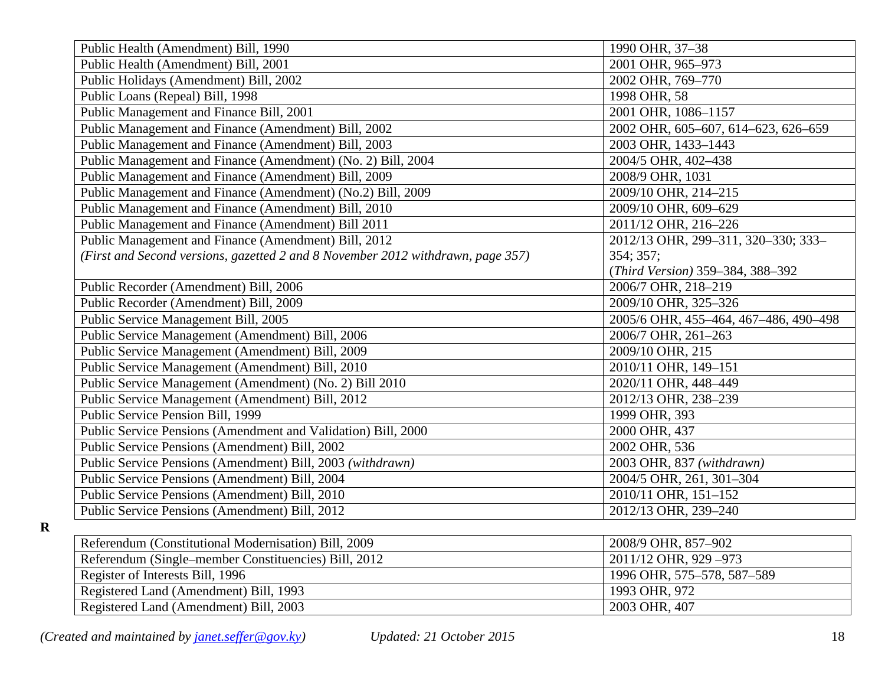| Public Health (Amendment) Bill, 1990                                                    | 1990 OHR, 37-38                       |  |
|-----------------------------------------------------------------------------------------|---------------------------------------|--|
| Public Health (Amendment) Bill, 2001                                                    | 2001 OHR, 965-973                     |  |
| Public Holidays (Amendment) Bill, 2002                                                  | 2002 OHR, 769-770                     |  |
| Public Loans (Repeal) Bill, 1998                                                        | 1998 OHR, 58                          |  |
| Public Management and Finance Bill, 2001                                                | 2001 OHR, 1086-1157                   |  |
| Public Management and Finance (Amendment) Bill, 2002                                    | 2002 OHR, 605-607, 614-623, 626-659   |  |
| Public Management and Finance (Amendment) Bill, 2003                                    | 2003 OHR, 1433-1443                   |  |
| Public Management and Finance (Amendment) (No. 2) Bill, 2004                            | 2004/5 OHR, 402-438                   |  |
| Public Management and Finance (Amendment) Bill, 2009                                    | 2008/9 OHR, 1031                      |  |
| Public Management and Finance (Amendment) (No.2) Bill, 2009                             | 2009/10 OHR, 214-215                  |  |
| Public Management and Finance (Amendment) Bill, 2010                                    | 2009/10 OHR, 609-629                  |  |
| Public Management and Finance (Amendment) Bill 2011                                     | 2011/12 OHR, 216-226                  |  |
| Public Management and Finance (Amendment) Bill, 2012                                    | 2012/13 OHR, 299-311, 320-330; 333-   |  |
| (First and Second versions, gazetted 2 and 8 November 2012 withdrawn, page 357)         | 354; 357;                             |  |
|                                                                                         | (Third Version) 359-384, 388-392      |  |
| Public Recorder (Amendment) Bill, 2006                                                  | 2006/7 OHR, 218-219                   |  |
| Public Recorder (Amendment) Bill, 2009                                                  | 2009/10 OHR, 325-326                  |  |
| Public Service Management Bill, 2005                                                    | 2005/6 OHR, 455-464, 467-486, 490-498 |  |
| Public Service Management (Amendment) Bill, 2006                                        | 2006/7 OHR, 261-263                   |  |
| Public Service Management (Amendment) Bill, 2009<br>2009/10 OHR, 215                    |                                       |  |
| Public Service Management (Amendment) Bill, 2010                                        | 2010/11 OHR, 149-151                  |  |
| Public Service Management (Amendment) (No. 2) Bill 2010<br>2020/11 OHR, 448-449         |                                       |  |
| Public Service Management (Amendment) Bill, 2012<br>2012/13 OHR, 238-239                |                                       |  |
| Public Service Pension Bill, 1999<br>1999 OHR, 393                                      |                                       |  |
| Public Service Pensions (Amendment and Validation) Bill, 2000<br>2000 OHR, 437          |                                       |  |
| Public Service Pensions (Amendment) Bill, 2002<br>2002 OHR, 536                         |                                       |  |
| Public Service Pensions (Amendment) Bill, 2003 (withdrawn)<br>2003 OHR, 837 (withdrawn) |                                       |  |
| Public Service Pensions (Amendment) Bill, 2004<br>2004/5 OHR, 261, 301-304              |                                       |  |
| Public Service Pensions (Amendment) Bill, 2010<br>2010/11 OHR, 151-152                  |                                       |  |
| Public Service Pensions (Amendment) Bill, 2012<br>2012/13 OHR, 239-240                  |                                       |  |
|                                                                                         |                                       |  |
| Referendum (Constitutional Modernisation) Bill, 2009                                    | 2008/9 OHR, 857-902                   |  |
| Referendum (Single-member Constituencies) Bill, 2012                                    | 2011/12 OHR, 929-973                  |  |
| Register of Interests Bill, 1996                                                        | 1996 OHR, 575-578, 587-589            |  |
| Registered Land (Amendment) Bill, 1993                                                  | 1993 OHR, 972                         |  |

**R**

Registered Land (Amendment) Bill, 2003 2003 OHR, 407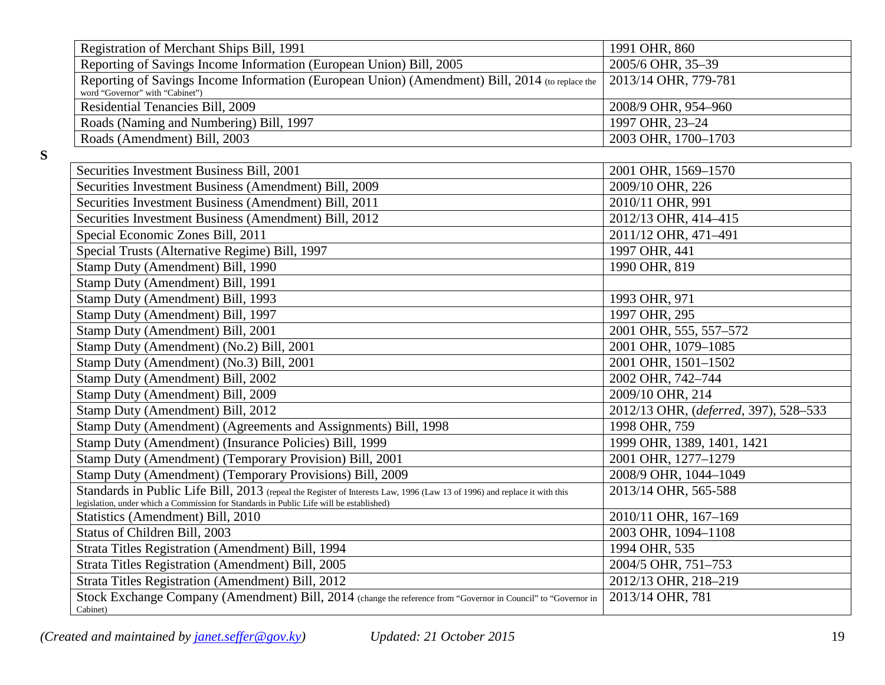| Registration of Merchant Ships Bill, 1991                                                                                          | 1991 OHR, 860                         |
|------------------------------------------------------------------------------------------------------------------------------------|---------------------------------------|
| Reporting of Savings Income Information (European Union) Bill, 2005                                                                | 2005/6 OHR, 35-39                     |
| Reporting of Savings Income Information (European Union) (Amendment) Bill, 2014 (to replace the<br>word "Governor" with "Cabinet") | 2013/14 OHR, 779-781                  |
| Residential Tenancies Bill, 2009                                                                                                   | 2008/9 OHR, 954-960                   |
| Roads (Naming and Numbering) Bill, 1997                                                                                            | 1997 OHR, 23-24                       |
| Roads (Amendment) Bill, 2003                                                                                                       | 2003 OHR, 1700-1703                   |
|                                                                                                                                    |                                       |
| Securities Investment Business Bill, 2001                                                                                          | 2001 OHR, 1569-1570                   |
| Securities Investment Business (Amendment) Bill, 2009                                                                              | 2009/10 OHR, 226                      |
| Securities Investment Business (Amendment) Bill, 2011                                                                              | 2010/11 OHR, 991                      |
| Securities Investment Business (Amendment) Bill, 2012                                                                              | 2012/13 OHR, 414-415                  |
| Special Economic Zones Bill, 2011                                                                                                  | 2011/12 OHR, 471-491                  |
| Special Trusts (Alternative Regime) Bill, 1997                                                                                     | 1997 OHR, 441                         |
| Stamp Duty (Amendment) Bill, 1990                                                                                                  | 1990 OHR, 819                         |
| Stamp Duty (Amendment) Bill, 1991                                                                                                  |                                       |
| Stamp Duty (Amendment) Bill, 1993                                                                                                  | 1993 OHR, 971                         |
| Stamp Duty (Amendment) Bill, 1997                                                                                                  | 1997 OHR, 295                         |
| Stamp Duty (Amendment) Bill, 2001                                                                                                  | 2001 OHR, 555, 557-572                |
| Stamp Duty (Amendment) (No.2) Bill, 2001                                                                                           | 2001 OHR, 1079-1085                   |
| Stamp Duty (Amendment) (No.3) Bill, 2001                                                                                           | 2001 OHR, 1501-1502                   |
| Stamp Duty (Amendment) Bill, 2002                                                                                                  | 2002 OHR, 742-744                     |
| Stamp Duty (Amendment) Bill, 2009                                                                                                  | 2009/10 OHR, 214                      |
| Stamp Duty (Amendment) Bill, 2012                                                                                                  | 2012/13 OHR, (deferred, 397), 528-533 |
| Stamp Duty (Amendment) (Agreements and Assignments) Bill, 1998                                                                     | 1998 OHR, 759                         |
| Stamp Duty (Amendment) (Insurance Policies) Bill, 1999                                                                             | 1999 OHR, 1389, 1401, 1421            |
| Stamp Duty (Amendment) (Temporary Provision) Bill, 2001                                                                            | 2001 OHR, 1277-1279                   |
| Stamp Duty (Amendment) (Temporary Provisions) Bill, 2009                                                                           | 2008/9 OHR, 1044-1049                 |
| Standards in Public Life Bill, 2013 (repeal the Register of Interests Law, 1996 (Law 13 of 1996) and replace it with this          | 2013/14 OHR, 565-588                  |
| legislation, under which a Commission for Standards in Public Life will be established)                                            |                                       |
| Statistics (Amendment) Bill, 2010                                                                                                  | 2010/11 OHR, 167-169                  |
| Status of Children Bill, 2003                                                                                                      | 2003 OHR, 1094-1108                   |
| Strata Titles Registration (Amendment) Bill, 1994                                                                                  | 1994 OHR, 535                         |
| Strata Titles Registration (Amendment) Bill, 2005                                                                                  | 2004/5 OHR, 751-753                   |
| Strata Titles Registration (Amendment) Bill, 2012                                                                                  | 2012/13 OHR, 218-219                  |
| Stock Exchange Company (Amendment) Bill, 2014 (change the reference from "Governor in Council" to "Governor in<br>Cabinet)         | 2013/14 OHR, 781                      |

**S**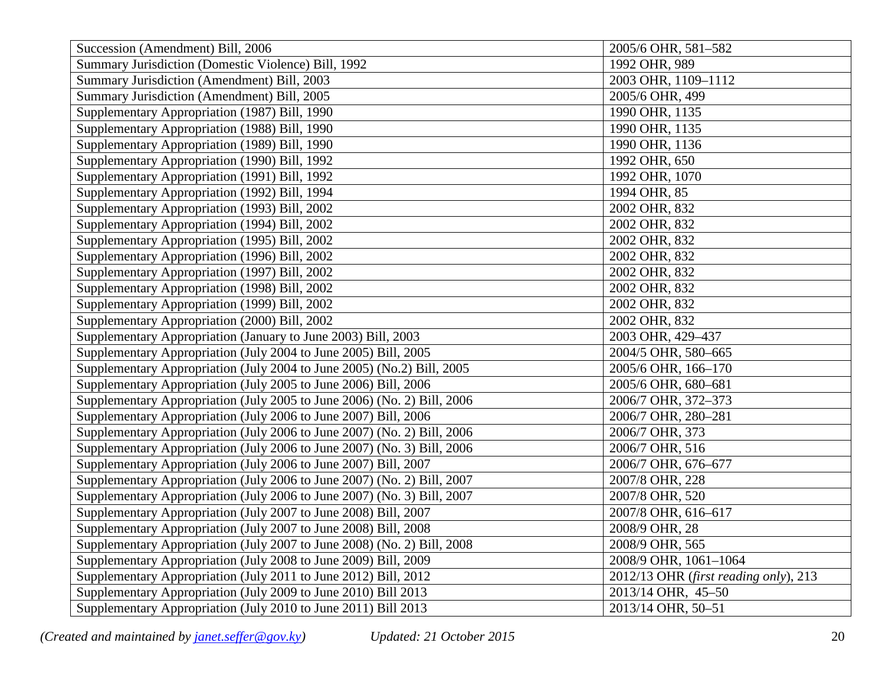| Succession (Amendment) Bill, 2006                                       | 2005/6 OHR, 581-582                   |
|-------------------------------------------------------------------------|---------------------------------------|
| Summary Jurisdiction (Domestic Violence) Bill, 1992                     | 1992 OHR, 989                         |
| Summary Jurisdiction (Amendment) Bill, 2003                             | 2003 OHR, 1109-1112                   |
| Summary Jurisdiction (Amendment) Bill, 2005                             | 2005/6 OHR, 499                       |
| Supplementary Appropriation (1987) Bill, 1990                           | 1990 OHR, 1135                        |
| Supplementary Appropriation (1988) Bill, 1990                           | 1990 OHR, 1135                        |
| Supplementary Appropriation (1989) Bill, 1990                           | 1990 OHR, 1136                        |
| Supplementary Appropriation (1990) Bill, 1992                           | 1992 OHR, 650                         |
| Supplementary Appropriation (1991) Bill, 1992                           | 1992 OHR, 1070                        |
| Supplementary Appropriation (1992) Bill, 1994                           | 1994 OHR, 85                          |
| Supplementary Appropriation (1993) Bill, 2002                           | 2002 OHR, 832                         |
| Supplementary Appropriation (1994) Bill, 2002                           | 2002 OHR, 832                         |
| Supplementary Appropriation (1995) Bill, 2002                           | 2002 OHR, 832                         |
| Supplementary Appropriation (1996) Bill, 2002                           | 2002 OHR, 832                         |
| Supplementary Appropriation (1997) Bill, 2002                           | 2002 OHR, 832                         |
| Supplementary Appropriation (1998) Bill, 2002                           | 2002 OHR, 832                         |
| Supplementary Appropriation (1999) Bill, 2002                           | 2002 OHR, 832                         |
| Supplementary Appropriation (2000) Bill, 2002                           | 2002 OHR, 832                         |
| Supplementary Appropriation (January to June 2003) Bill, 2003           | 2003 OHR, 429-437                     |
| Supplementary Appropriation (July 2004 to June 2005) Bill, 2005         | 2004/5 OHR, 580-665                   |
| Supplementary Appropriation (July 2004 to June 2005) (No.2) Bill, 2005  | 2005/6 OHR, 166-170                   |
| Supplementary Appropriation (July 2005 to June 2006) Bill, 2006         | 2005/6 OHR, 680-681                   |
| Supplementary Appropriation (July 2005 to June 2006) (No. 2) Bill, 2006 | 2006/7 OHR, 372-373                   |
| Supplementary Appropriation (July 2006 to June 2007) Bill, 2006         | 2006/7 OHR, 280-281                   |
| Supplementary Appropriation (July 2006 to June 2007) (No. 2) Bill, 2006 | 2006/7 OHR, 373                       |
| Supplementary Appropriation (July 2006 to June 2007) (No. 3) Bill, 2006 | 2006/7 OHR, 516                       |
| Supplementary Appropriation (July 2006 to June 2007) Bill, 2007         | 2006/7 OHR, 676-677                   |
| Supplementary Appropriation (July 2006 to June 2007) (No. 2) Bill, 2007 | 2007/8 OHR, 228                       |
| Supplementary Appropriation (July 2006 to June 2007) (No. 3) Bill, 2007 | 2007/8 OHR, 520                       |
| Supplementary Appropriation (July 2007 to June 2008) Bill, 2007         | 2007/8 OHR, 616-617                   |
| Supplementary Appropriation (July 2007 to June 2008) Bill, 2008         | 2008/9 OHR, 28                        |
| Supplementary Appropriation (July 2007 to June 2008) (No. 2) Bill, 2008 | 2008/9 OHR, 565                       |
| Supplementary Appropriation (July 2008 to June 2009) Bill, 2009         | 2008/9 OHR, 1061-1064                 |
| Supplementary Appropriation (July 2011 to June 2012) Bill, 2012         | 2012/13 OHR (first reading only), 213 |
| Supplementary Appropriation (July 2009 to June 2010) Bill 2013          | 2013/14 OHR, 45-50                    |
| Supplementary Appropriation (July 2010 to June 2011) Bill 2013          | 2013/14 OHR, 50-51                    |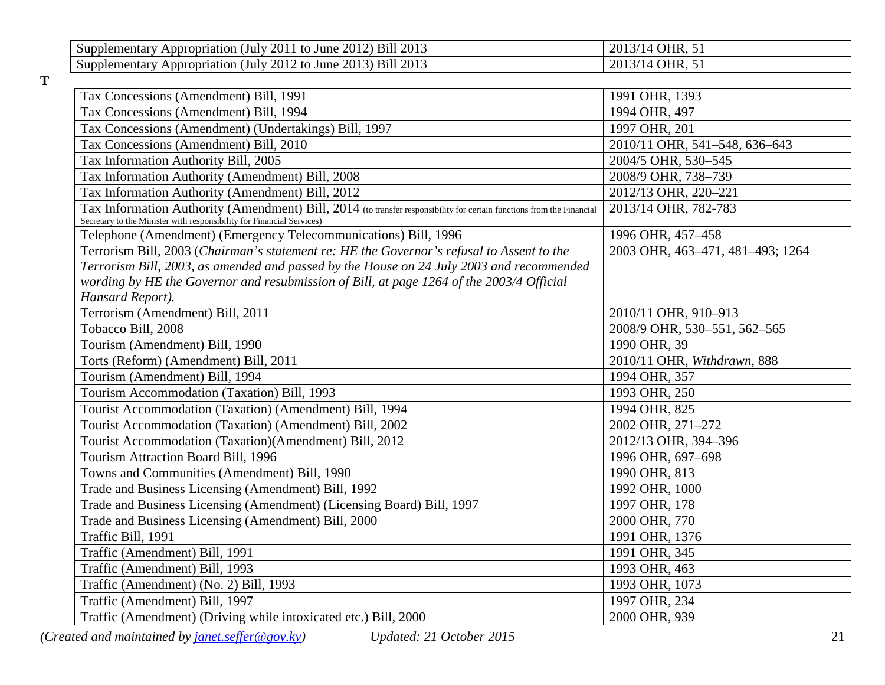| $2011$ to June $\overline{a}$<br>2012) Bill 2013<br>Appropriation (July)<br>Supplementary | <b>OHR. 51</b><br>2013/14 |
|-------------------------------------------------------------------------------------------|---------------------------|
| 2012 to June 2<br>2013) Bill 2013<br>Appropriation (July)<br>Supplementary                | <b>OHR, 51</b><br>2013/14 |

| Tax Concessions (Amendment) Bill, 1991                                                                                                                                                         | 1991 OHR, 1393                   |
|------------------------------------------------------------------------------------------------------------------------------------------------------------------------------------------------|----------------------------------|
| Tax Concessions (Amendment) Bill, 1994                                                                                                                                                         | 1994 OHR, 497                    |
| Tax Concessions (Amendment) (Undertakings) Bill, 1997                                                                                                                                          | 1997 OHR, 201                    |
| Tax Concessions (Amendment) Bill, 2010                                                                                                                                                         | 2010/11 OHR, 541-548, 636-643    |
| Tax Information Authority Bill, 2005                                                                                                                                                           | 2004/5 OHR, 530-545              |
| Tax Information Authority (Amendment) Bill, 2008                                                                                                                                               | 2008/9 OHR, 738-739              |
| Tax Information Authority (Amendment) Bill, 2012                                                                                                                                               | 2012/13 OHR, 220-221             |
| Tax Information Authority (Amendment) Bill, 2014 (to transfer responsibility for certain functions from the Financial<br>Secretary to the Minister with responsibility for Financial Services) | 2013/14 OHR, 782-783             |
| Telephone (Amendment) (Emergency Telecommunications) Bill, 1996                                                                                                                                | 1996 OHR, 457-458                |
| Terrorism Bill, 2003 (Chairman's statement re: HE the Governor's refusal to Assent to the                                                                                                      | 2003 OHR, 463-471, 481-493; 1264 |
| Terrorism Bill, 2003, as amended and passed by the House on 24 July 2003 and recommended                                                                                                       |                                  |
| wording by HE the Governor and resubmission of Bill, at page 1264 of the 2003/4 Official                                                                                                       |                                  |
| Hansard Report).                                                                                                                                                                               |                                  |
| Terrorism (Amendment) Bill, 2011                                                                                                                                                               | 2010/11 OHR, 910-913             |
| Tobacco Bill, 2008                                                                                                                                                                             | 2008/9 OHR, 530-551, 562-565     |
| Tourism (Amendment) Bill, 1990                                                                                                                                                                 | 1990 OHR, 39                     |
| Torts (Reform) (Amendment) Bill, 2011                                                                                                                                                          | 2010/11 OHR, Withdrawn, 888      |
| Tourism (Amendment) Bill, 1994                                                                                                                                                                 | 1994 OHR, 357                    |
| Tourism Accommodation (Taxation) Bill, 1993                                                                                                                                                    | 1993 OHR, 250                    |
| Tourist Accommodation (Taxation) (Amendment) Bill, 1994                                                                                                                                        | 1994 OHR, 825                    |
| Tourist Accommodation (Taxation) (Amendment) Bill, 2002                                                                                                                                        | 2002 OHR, 271-272                |
| Tourist Accommodation (Taxation)(Amendment) Bill, 2012                                                                                                                                         | 2012/13 OHR, 394-396             |
| Tourism Attraction Board Bill, 1996                                                                                                                                                            | 1996 OHR, 697-698                |
| Towns and Communities (Amendment) Bill, 1990                                                                                                                                                   | 1990 OHR, 813                    |
| Trade and Business Licensing (Amendment) Bill, 1992                                                                                                                                            | 1992 OHR, 1000                   |
| Trade and Business Licensing (Amendment) (Licensing Board) Bill, 1997                                                                                                                          | 1997 OHR, 178                    |
| Trade and Business Licensing (Amendment) Bill, 2000                                                                                                                                            | 2000 OHR, 770                    |
| Traffic Bill, 1991                                                                                                                                                                             | 1991 OHR, 1376                   |
| Traffic (Amendment) Bill, 1991                                                                                                                                                                 | 1991 OHR, 345                    |
| Traffic (Amendment) Bill, 1993                                                                                                                                                                 | 1993 OHR, 463                    |
| Traffic (Amendment) (No. 2) Bill, 1993                                                                                                                                                         | 1993 OHR, 1073                   |
| Traffic (Amendment) Bill, 1997                                                                                                                                                                 | 1997 OHR, 234                    |
| Traffic (Amendment) (Driving while intoxicated etc.) Bill, 2000                                                                                                                                | 2000 OHR, 939                    |